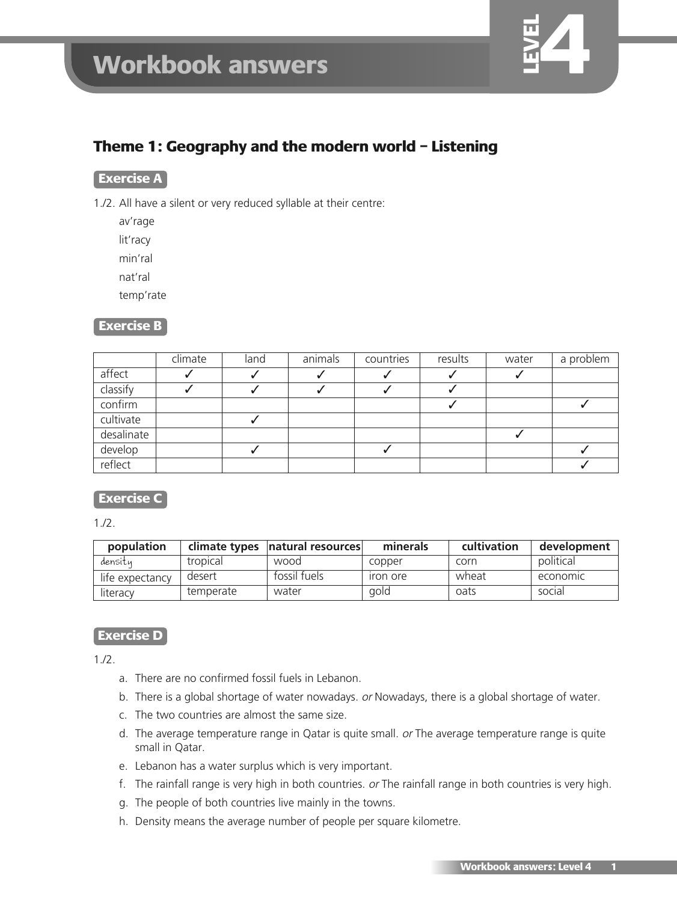

# **Theme 1: Geography and the modern world – Listening**

### **Exercise A**

- 1./2. All have a silent or very reduced syllable at their centre:
	- av'rage lit'racy
	- min'ral

nat'ral

temp'rate

### **Exercise B**

|            | climate | land | animals | countries | results | water | a problem |
|------------|---------|------|---------|-----------|---------|-------|-----------|
| affect     |         |      |         |           |         |       |           |
| classify   |         |      |         |           |         |       |           |
| confirm    |         |      |         |           |         |       |           |
| cultivate  |         |      |         |           |         |       |           |
| desalinate |         |      |         |           |         |       |           |
| develop    |         |      |         |           |         |       |           |
| reflect    |         |      |         |           |         |       |           |

# **Exercise C**

1./2.

| population      |           | climate types   natural resources | minerals              | cultivation | development |
|-----------------|-----------|-----------------------------------|-----------------------|-------------|-------------|
| densitu         | tropical  | wood                              | copper                | corn        | political   |
| life expectancy | desert    | fossil fuels                      | <i><u>ron ore</u></i> | wheat       | economic    |
| literacy        | temperate | water                             | gold                  | oats        | social      |

# **Exercise D**

 $1.12.$ 

- a. There are no confirmed fossil fuels in Lebanon.
- b. There is a global shortage of water nowadays. or Nowadays, there is a global shortage of water.
- c. The two countries are almost the same size.
- d. The average temperature range in Qatar is quite small. or The average temperature range is quite small in Qatar.
- e. Lebanon has a water surplus which is very important.
- f. The rainfall range is very high in both countries. or The rainfall range in both countries is very high.
- g. The people of both countries live mainly in the towns.
- h. Density means the average number of people per square kilometre.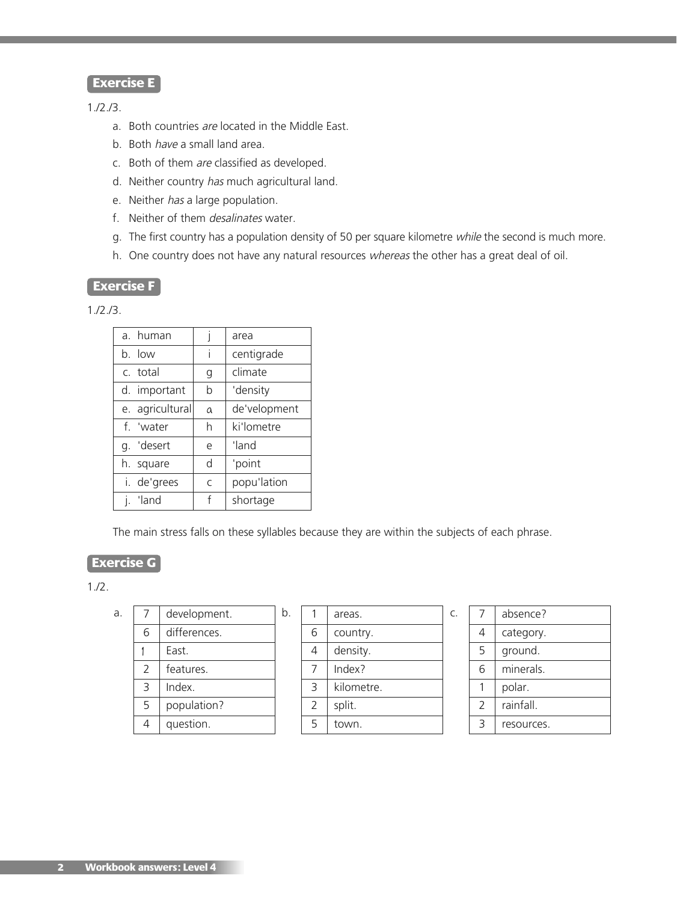## **Exercise E**

#### 1./2./3.

- a. Both countries are located in the Middle East.
- b. Both have a small land area.
- c. Both of them are classified as developed.
- d. Neither country has much agricultural land.
- e. Neither has a large population.
- f. Neither of them desalinates water.
- g. The first country has a population density of 50 per square kilometre while the second is much more.
- h. One country does not have any natural resources whereas the other has a great deal of oil.

#### **Exercise F**

1./2./3.

| a. human        |                             | area         |
|-----------------|-----------------------------|--------------|
| b. low          |                             | centigrade   |
| c. total        | g                           | climate      |
| d. important    | b                           | 'density     |
| e. agricultural | $\alpha$                    | de'velopment |
| f. 'water       | h                           | ki'lometre   |
| g. 'desert      | e                           | 'land        |
| h. square       | d                           | 'point       |
| i. de'grees     | $\mathcal{C}_{\mathcal{C}}$ | popu'lation  |
| j. 'land        | f                           | shortage     |

The main stress falls on these syllables because they are within the subjects of each phrase.

### **Exercise G**

| a. |               | development. | b. |                | areas.     | C. |
|----|---------------|--------------|----|----------------|------------|----|
|    | 6             | differences. |    | 6              | country.   |    |
|    |               | East.        |    | 4              | density.   |    |
|    | $\mathcal{P}$ | features.    |    | 7              | Index?     |    |
|    | 3             | Index.       |    | 3              | kilometre. |    |
|    | 5             | population?  |    | $\overline{2}$ | split.     |    |
|    | 4             | question.    |    | 5              | town.      |    |
|    |               |              |    |                |            |    |

|   | areas.     |
|---|------------|
| 6 | country.   |
| 4 | density.   |
| 7 | Index?     |
| 3 | kilometre. |
| 2 | split.     |
| 5 | town.      |
|   |            |

|               | absence?   |
|---------------|------------|
| 4             | category.  |
| 5             | ground.    |
| 6             | minerals.  |
|               | polar.     |
| $\mathcal{P}$ | rainfall.  |
| ₹             | resources. |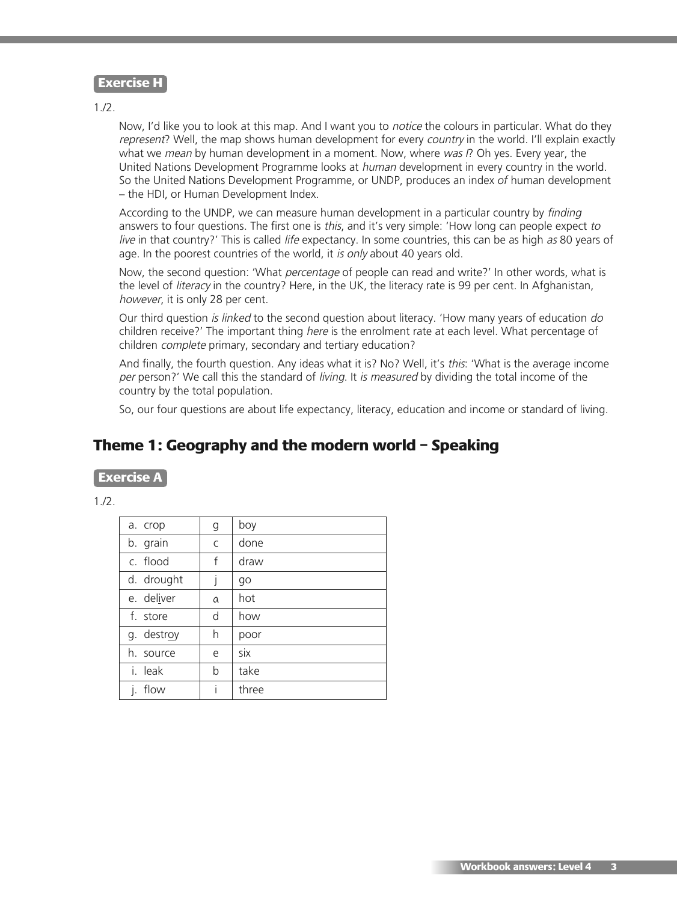#### **Exercise H**

 $1.12.$ 

Now, I'd like you to look at this map. And I want you to *notice* the colours in particular. What do they represent? Well, the map shows human development for every country in the world. I'll explain exactly what we mean by human development in a moment. Now, where was  $P$ . Oh yes. Every year, the United Nations Development Programme looks at human development in every country in the world. So the United Nations Development Programme, or UNDP, produces an index *of* human development – the HDI, or Human Development Index.

According to the UNDP, we can measure human development in a particular country by finding answers to four questions. The first one is this, and it's very simple: 'How long can people expect to live in that country?' This is called life expectancy. In some countries, this can be as high as 80 years of age. In the poorest countries of the world, it is only about 40 years old.

Now, the second question: 'What *percentage* of people can read and write?' In other words, what is the level of literacy in the country? Here, in the UK, the literacy rate is 99 per cent. In Afghanistan, however, it is only 28 per cent.

Our third question is linked to the second question about literacy. 'How many years of education do children receive?' The important thing here is the enrolment rate at each level. What percentage of children complete primary, secondary and tertiary education?

And finally, the fourth question. Any ideas what it is? No? Well, it's this: 'What is the average income per person?' We call this the standard of living. It is measured by dividing the total income of the country by the total population.

So, our four questions are about life expectancy, literacy, education and income or standard of living.

# **Theme 1: Geography and the modern world – Speaking**

**Exercise A**

 $1.12.$ 

| g | boy   |
|---|-------|
| C | done  |
| f | draw  |
|   | go    |
| a | hot   |
| d | how   |
| h | poor  |
| e | six   |
| b | take  |
| i | three |
|   |       |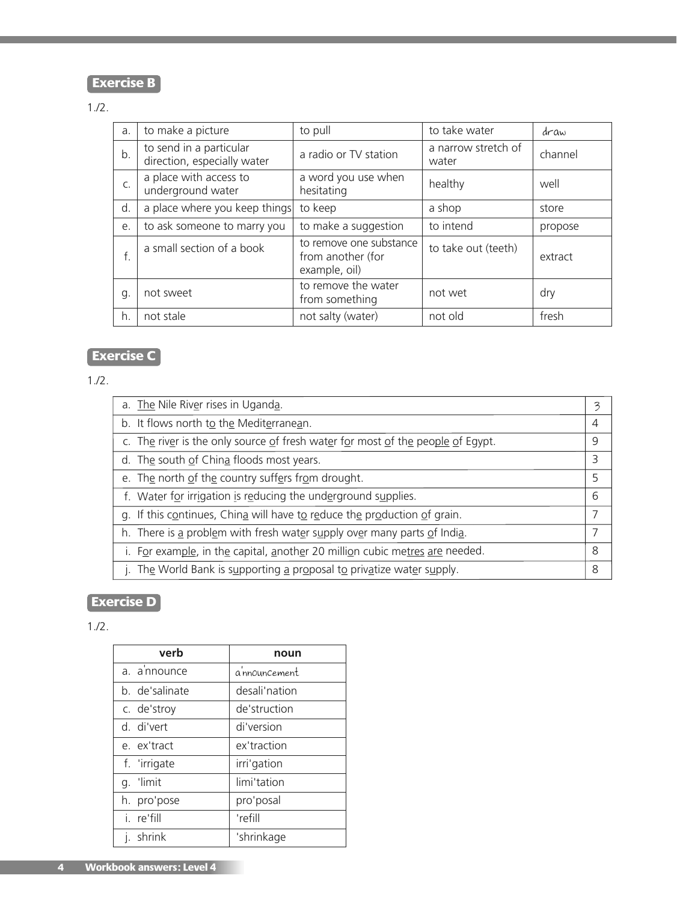# **Exercise B**

## 1./2.

| a. | to make a picture                                      | to pull                                                       | to take water                | draw    |
|----|--------------------------------------------------------|---------------------------------------------------------------|------------------------------|---------|
| b. | to send in a particular<br>direction, especially water | a radio or TV station                                         | a narrow stretch of<br>water | channel |
| C. | a place with access to<br>underground water            | a word you use when<br>hesitating                             | healthy                      | well    |
| d. | a place where you keep things                          | to keep                                                       | a shop                       | store   |
| e. | to ask someone to marry you                            | to make a suggestion                                          | to intend                    | propose |
| f. | a small section of a book                              | to remove one substance<br>from another (for<br>example, oil) | to take out (teeth)          | extract |
| g. | not sweet                                              | to remove the water<br>from something                         | not wet                      | dry     |
| h. | not stale                                              | not salty (water)                                             | not old                      | fresh   |

# **Exercise C**

1./2.

| a. The Nile River rises in Uganda.                                              | 3              |
|---------------------------------------------------------------------------------|----------------|
| b. It flows north to the Mediterranean.                                         | $\overline{4}$ |
| c. The river is the only source of fresh water for most of the people of Egypt. | 9              |
| d. The south of China floods most years.                                        | 3              |
| e. The north of the country suffers from drought.                               | 5              |
| f. Water for irrigation is reducing the underground supplies.                   | 6              |
| g. If this continues, China will have to reduce the production of grain.        | 7              |
| h. There is a problem with fresh water supply over many parts of India.         | 7              |
| i. For example, in the capital, another 20 million cubic metres are needed.     | 8              |
| j. The World Bank is supporting a proposal to privatize water supply.           | 8              |

# **Exercise D**

| verb           | noun          |  |  |
|----------------|---------------|--|--|
| a. a'nnounce   | a nnouncement |  |  |
| b. de'salinate | desali'nation |  |  |
| c. de'stroy    | de'struction  |  |  |
| d. di'vert     | di'version    |  |  |
| e. ex'tract    | ex'traction   |  |  |
| f. 'irrigate   | irri'gation   |  |  |
| g. 'limit      | limi'tation   |  |  |
| h. pro'pose    | pro'posal     |  |  |
| i re'fill      | 'refill       |  |  |
| j. shrink      | 'shrinkage    |  |  |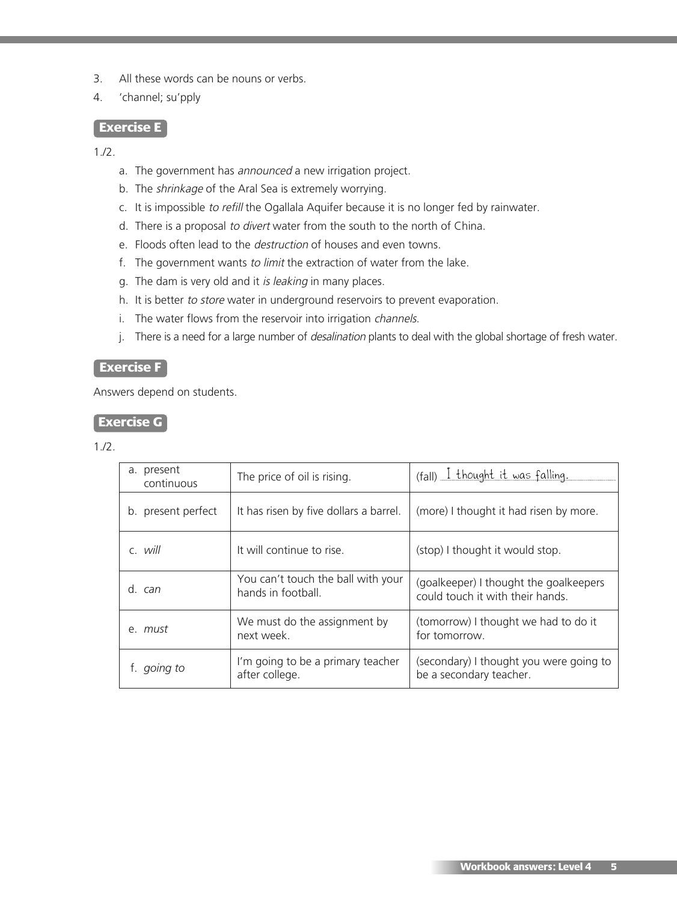- 3. All these words can be nouns or verbs.
- 4. 'channel; su'pply

### **Exercise E**

 $1.12.$ 

- a. The government has announced a new irrigation project.
- b. The shrinkage of the Aral Sea is extremely worrying.
- c. It is impossible to refill the Ogallala Aquifer because it is no longer fed by rainwater.
- d. There is a proposal to divert water from the south to the north of China.
- e. Floods often lead to the destruction of houses and even towns.
- f. The government wants to limit the extraction of water from the lake.
- g. The dam is very old and it is leaking in many places.
- h. It is better to store water in underground reservoirs to prevent evaporation.
- i. The water flows from the reservoir into irrigation channels.
- j. There is a need for a large number of *desalination* plants to deal with the global shortage of fresh water.

#### **Exercise F**

Answers depend on students.

### **Exercise G**

| a. present<br>continuous | The price of oil is rising.                              | (fall) I thought it was falling.                                           |
|--------------------------|----------------------------------------------------------|----------------------------------------------------------------------------|
| b. present perfect       | It has risen by five dollars a barrel.                   | (more) I thought it had risen by more.                                     |
| c. will                  | It will continue to rise.                                | (stop) I thought it would stop.                                            |
| d. can                   | You can't touch the ball with your<br>hands in football. | (goalkeeper) I thought the goalkeepers<br>could touch it with their hands. |
| e. must                  | We must do the assignment by<br>next week.               | (tomorrow) I thought we had to do it<br>for tomorrow.                      |
| going to                 | I'm going to be a primary teacher<br>after college.      | (secondary) I thought you were going to<br>be a secondary teacher.         |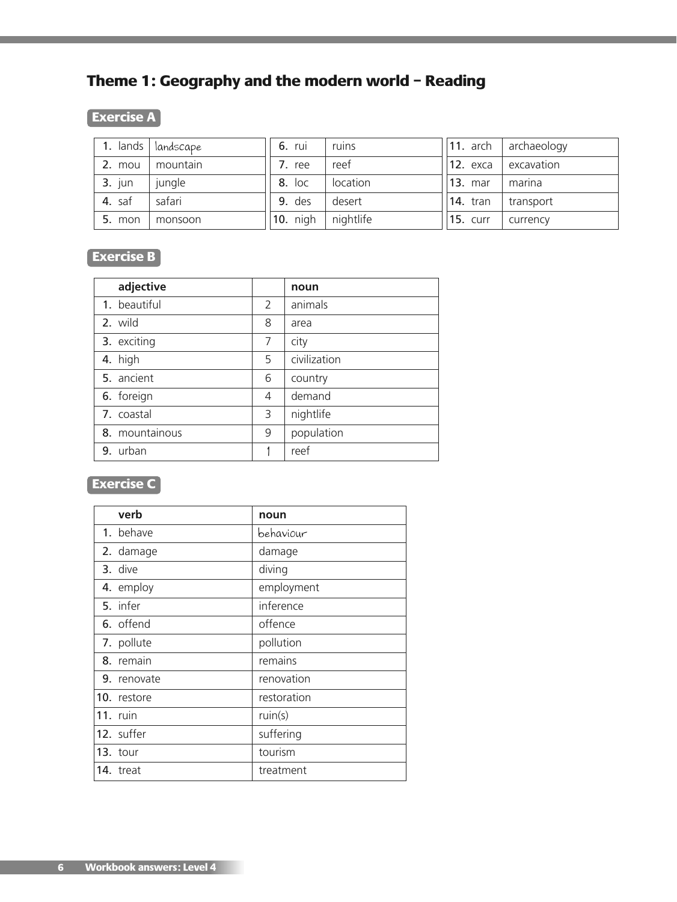# **Theme 1: Geography and the modern world – Reading**

# **Exercise A**

|          | 1. lands   landscape | 6. rui   | ruins     | $\vert$ 11. arch | archaeology |
|----------|----------------------|----------|-----------|------------------|-------------|
| 2. mou   | mountain             | 7. ree   | reef      | <b>12.</b> ехса  | excavation  |
| $3.$ jun | jungle               | 8. loc   | location  | <b>13. mar</b>   | marina      |
| 4. saf   | safari               | 9. des   | desert    | <b>14.</b> tran  | transport   |
| $5.$ mon | monsoon              | 10. nigh | nightlife | <b>15. curr</b>  | currency    |

# **Exercise B**

| adjective      |   | noun         |
|----------------|---|--------------|
| 1. beautiful   | 2 | animals      |
| 2. wild        | 8 | area         |
| 3. exciting    | 7 | city         |
| 4. high        | 5 | civilization |
| 5. ancient     | 6 | country      |
| 6. foreign     | 4 | demand       |
| 7. coastal     | 3 | nightlife    |
| 8. mountainous | 9 | population   |
| 9. urban       |   | reef         |

# **Exercise C**

| verb        | noun        |
|-------------|-------------|
| 1. behave   | behaviour   |
| 2. damage   | damage      |
| 3. dive     | diving      |
| 4. employ   | employment  |
| 5. infer    | inference   |
| 6. offend   | offence     |
| 7. pollute  | pollution   |
| 8. remain   | remains     |
| 9. renovate | renovation  |
| 10. restore | restoration |
| 11. ruin    | ruin(s)     |
| 12. suffer  | suffering   |
| 13. tour    | tourism     |
| 14. treat   | treatment   |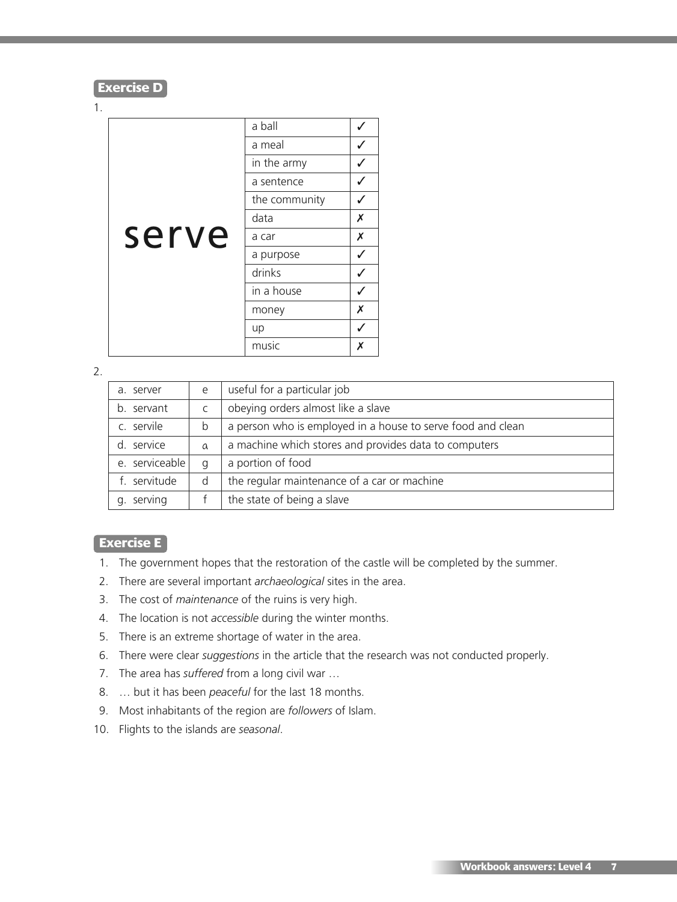#### **Exercise D**

#### 1.

|       | a ball        |                    |
|-------|---------------|--------------------|
|       | a meal        |                    |
|       | in the army   |                    |
|       | a sentence    | ✓                  |
|       | the community |                    |
|       | data          | Х                  |
| serve | a car         | $\pmb{\mathsf{X}}$ |
|       | a purpose     | ✓                  |
|       | drinks        |                    |
|       | in a house    |                    |
|       | money         | Х                  |
|       | up            |                    |
|       | music         | Х                  |

2.

| a. server      | e        | useful for a particular job                                 |
|----------------|----------|-------------------------------------------------------------|
| b. servant     |          | obeying orders almost like a slave                          |
| c. servile     | b        | a person who is employed in a house to serve food and clean |
| service        | $\alpha$ | a machine which stores and provides data to computers       |
| e. serviceable | q        | a portion of food                                           |
| f. servitude   | d        | the regular maintenance of a car or machine                 |
| serving        |          | the state of being a slave                                  |

### **Exercise E**

- 1. The government hopes that the restoration of the castle will be completed by the summer.
- 2. There are several important *archaeological* sites in the area.
- 3. The cost of *maintenance* of the ruins is very high.
- 4. The location is not *accessible* during the winter months.
- 5. There is an extreme shortage of water in the area.
- 6. There were clear *suggestions* in the article that the research was not conducted properly.
- 7. The area has *suffered* from a long civil war …
- 8. … but it has been *peaceful* for the last 18 months.
- 9. Most inhabitants of the region are *followers* of Islam.
- 10. Flights to the islands are *seasonal*.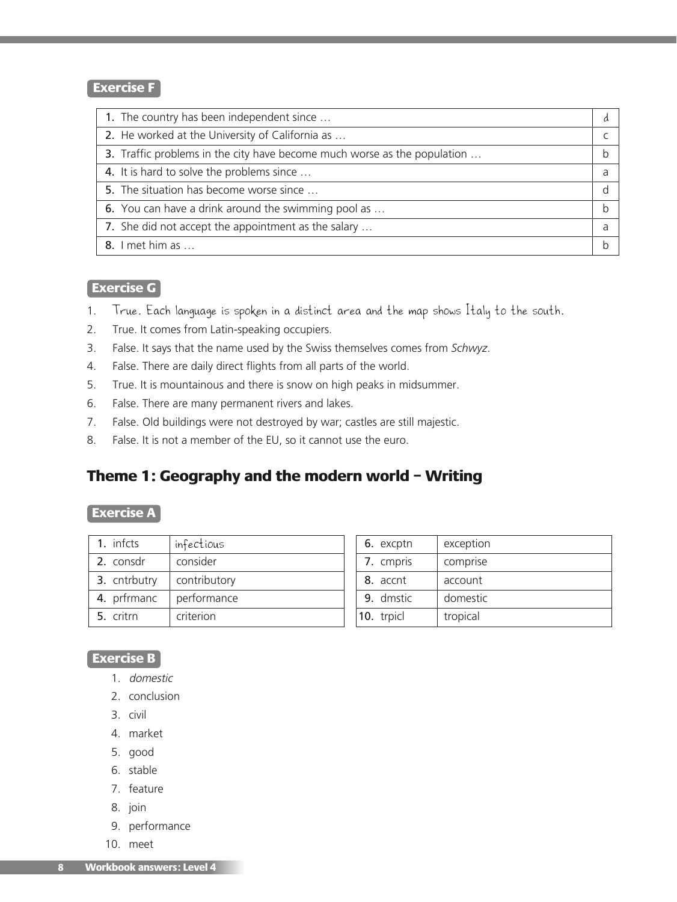### **Exercise F**

1. The country has been independent since … 2. He worked at the University of California as ... 3. Traffic problems in the city have become much worse as the population ... 4. It is hard to solve the problems since … a state of the problems since in the state of the state of the state of the state of the state of the state of the state of the state of the state of the state of the state of th 5. The situation has become worse since … d 6. You can have a drink around the swimming pool as ... by the same pool is a set of the swimming pool as  $\Box$ 7. She did not accept the appointment as the salary … 8. I met him as …

### **Exercise G**

- 1. True. Each language is spoken in a distinct area and the map shows Italy to the south.
- 2. True. It comes from Latin-speaking occupiers.
- 3. False. It says that the name used by the Swiss themselves comes from *Schwyz*.
- 4. False. There are daily direct flights from all parts of the world.
- 5. True. It is mountainous and there is snow on high peaks in midsummer.
- 6. False. There are many permanent rivers and lakes.
- 7. False. Old buildings were not destroyed by war; castles are still majestic.
- 8. False. It is not a member of the EU, so it cannot use the euro.

# **Theme 1: Geography and the modern world – Writing**

#### **Exercise A**

| 1. infcts    | infectious   |
|--------------|--------------|
| 2. consdr    | consider     |
| 3. cntrbutry | contributory |
| 4. prfrmanc  | performance  |
| 5. critrn    | criterion    |

| 6. excptn  | exception |
|------------|-----------|
| 7. cmpris  | comprise  |
| 8. accnt   | account   |
| 9. dmstic  | domestic  |
| 10. trpicl | tropical  |

d

#### **Exercise B**

- 1. domestic
- 2. conclusion
- 3. civil
- 4. market
- 5. good
- 6. stable
- 7. feature
- 8. join
- 9. performance
- 10. meet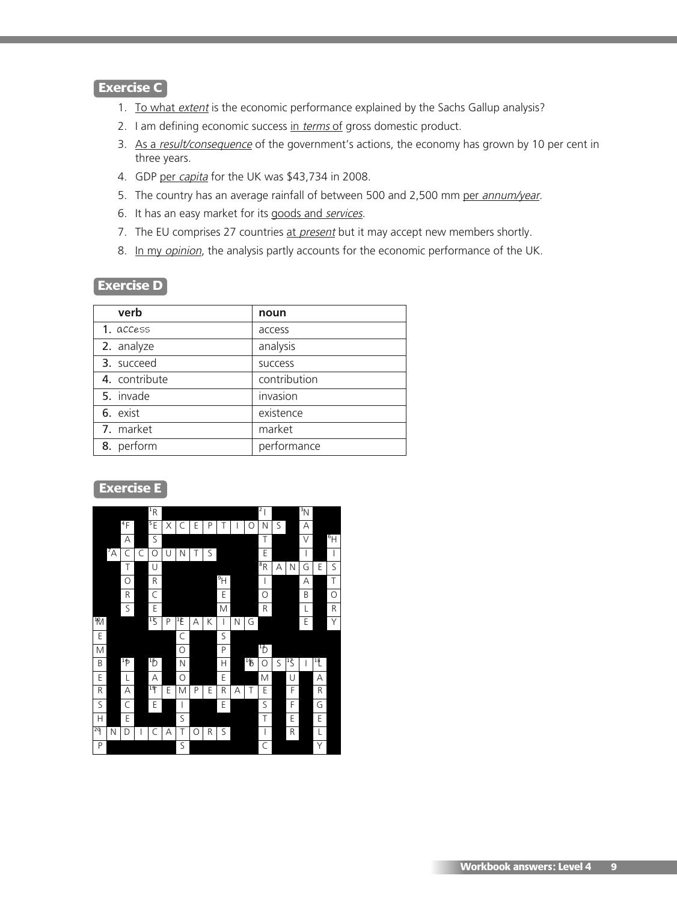## **Exercise C**

- 1. To what extent is the economic performance explained by the Sachs Gallup analysis?
- 2. I am defining economic success in terms of gross domestic product.
- 3. As a result/consequence of the government's actions, the economy has grown by 10 per cent in three years.
- 4. GDP per capita for the UK was \$43,734 in 2008.
- 5. The country has an average rainfall of between 500 and 2,500 mm per annum/year.
- 6. It has an easy market for its goods and services.
- 7. The EU comprises 27 countries at present but it may accept new members shortly.
- 8. In my opinion, the analysis partly accounts for the economic performance of the UK.

#### **Exercise D**

| verb          | noun           |
|---------------|----------------|
| 1. access     | access         |
| 2. analyze    | analysis       |
| 3. succeed    | <b>SUCCESS</b> |
| 4. contribute | contribution   |
| 5. invade     | invasion       |
| 6. exist      | existence      |
| 7. market     | market         |
| 8. perform    | performance    |

## **Exercise E**

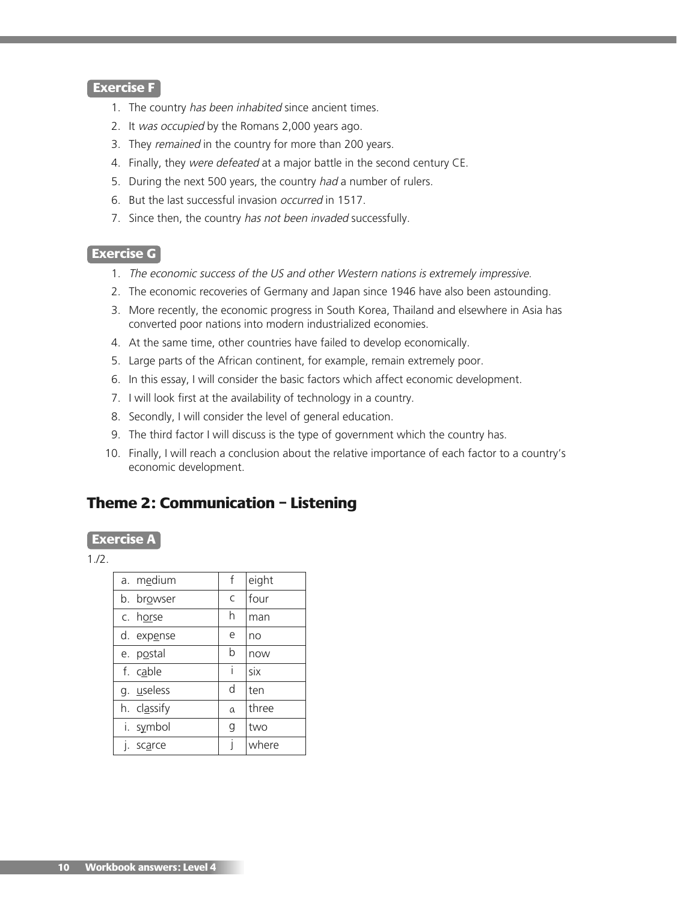#### **Exercise F**

- 1. The country has been inhabited since ancient times.
- 2. It was occupied by the Romans 2,000 years ago.
- 3. They remained in the country for more than 200 years.
- 4. Finally, they were defeated at a major battle in the second century CE.
- 5. During the next 500 years, the country had a number of rulers.
- 6. But the last successful invasion occurred in 1517.
- 7. Since then, the country has not been invaded successfully.

#### **Exercise G**

- 1. The economic success of the US and other Western nations is extremely impressive.
- 2. The economic recoveries of Germany and Japan since 1946 have also been astounding.
- 3. More recently, the economic progress in South Korea, Thailand and elsewhere in Asia has converted poor nations into modern industrialized economies.
- 4. At the same time, other countries have failed to develop economically.
- 5. Large parts of the African continent, for example, remain extremely poor.
- 6. In this essay, I will consider the basic factors which affect economic development.
- 7. I will look first at the availability of technology in a country.
- 8. Secondly, I will consider the level of general education.
- 9. The third factor I will discuss is the type of government which the country has.
- 10. Finally, I will reach a conclusion about the relative importance of each factor to a country's economic development.

# **Theme 2: Communication – Listening**

#### **Exercise A**

| a. medium   | f | eight |
|-------------|---|-------|
| b. browser  | C | four  |
| c. horse    | h | man   |
| d. expense  | e | no    |
| e. postal   | b | now   |
| f. cable    | i | six   |
| g. useless  | d | ten   |
| h. classify | a | three |
| i. symbol   | g | two   |
| scarce      | Ī | where |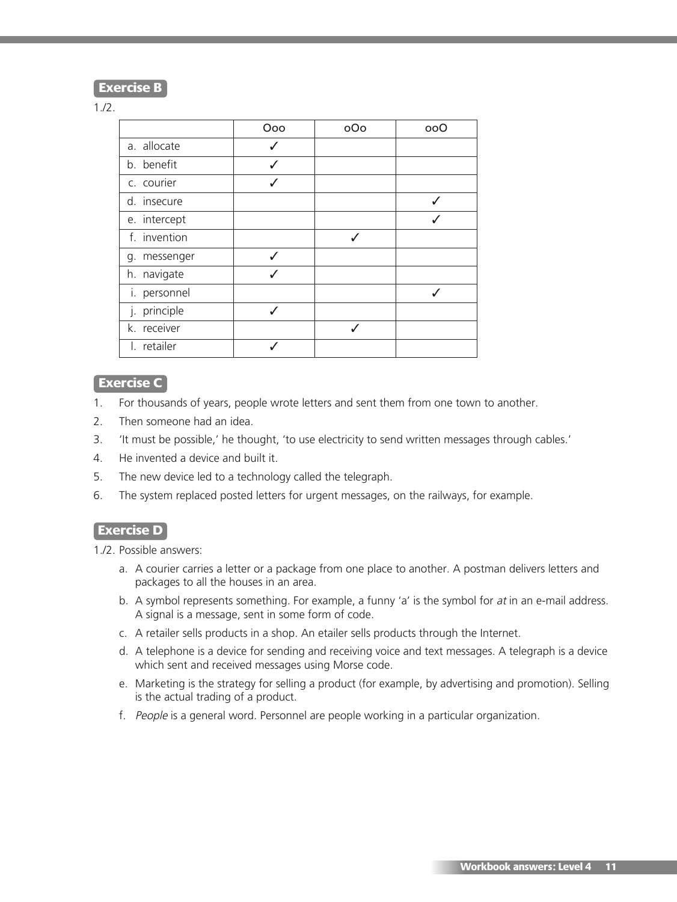**Exercise B**

#### 1./2.

|              | Ooo | oOo | ooO |
|--------------|-----|-----|-----|
| a. allocate  | √   |     |     |
| b. benefit   |     |     |     |
| c. courier   |     |     |     |
| d. insecure  |     |     |     |
| e. intercept |     |     |     |
| f. invention |     |     |     |
| g. messenger |     |     |     |
| h. navigate  |     |     |     |
| i. personnel |     |     |     |
| j. principle | J   |     |     |
| k. receiver  |     |     |     |
| I. retailer  |     |     |     |

### **Exercise C**

- 1. For thousands of years, people wrote letters and sent them from one town to another.
- 2. Then someone had an idea.
- 3. 'It must be possible,' he thought, 'to use electricity to send written messages through cables.'
- 4. He invented a device and built it.
- 5. The new device led to a technology called the telegraph.
- 6. The system replaced posted letters for urgent messages, on the railways, for example.

### **Exercise D**

1./2. Possible answers:

- a. A courier carries a letter or a package from one place to another. A postman delivers letters and packages to all the houses in an area.
- b. A symbol represents something. For example, a funny 'a' is the symbol for at in an e-mail address. A signal is a message, sent in some form of code.
- c. A retailer sells products in a shop. An etailer sells products through the Internet.
- d. A telephone is a device for sending and receiving voice and text messages. A telegraph is a device which sent and received messages using Morse code.
- e. Marketing is the strategy for selling a product (for example, by advertising and promotion). Selling is the actual trading of a product.
- f. People is a general word. Personnel are people working in a particular organization.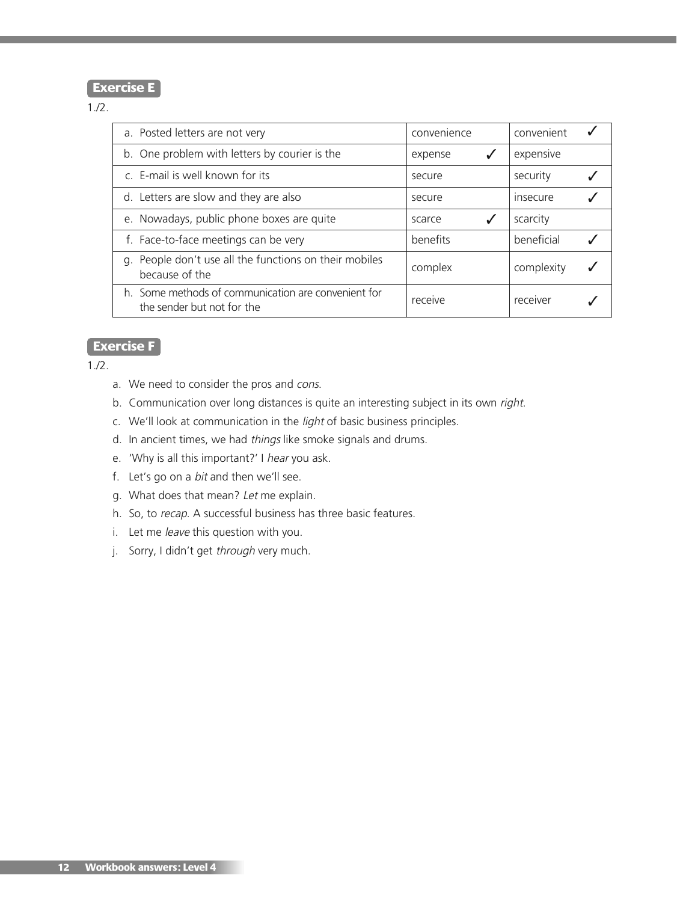### **Exercise E**

#### 1./2.

| a. Posted letters are not very                                                    | convenience | convenient |
|-----------------------------------------------------------------------------------|-------------|------------|
| b. One problem with letters by courier is the                                     | expense     | expensive  |
| c. E-mail is well known for its                                                   | secure      | security   |
| d. Letters are slow and they are also                                             | secure      | insecure   |
| e. Nowadays, public phone boxes are quite                                         | √<br>scarce | scarcity   |
| f. Face-to-face meetings can be very                                              | benefits    | beneficial |
| g. People don't use all the functions on their mobiles<br>because of the          | complex     | complexity |
| h. Some methods of communication are convenient for<br>the sender but not for the | receive     | receiver   |

## **Exercise F**

- a. We need to consider the pros and cons.
- b. Communication over long distances is quite an interesting subject in its own right.
- c. We'll look at communication in the *light* of basic business principles.
- d. In ancient times, we had things like smoke signals and drums.
- e. 'Why is all this important?' I hear you ask.
- f. Let's go on a bit and then we'll see.
- g. What does that mean? Let me explain.
- h. So, to recap. A successful business has three basic features.
- i. Let me leave this question with you.
- j. Sorry, I didn't get through very much.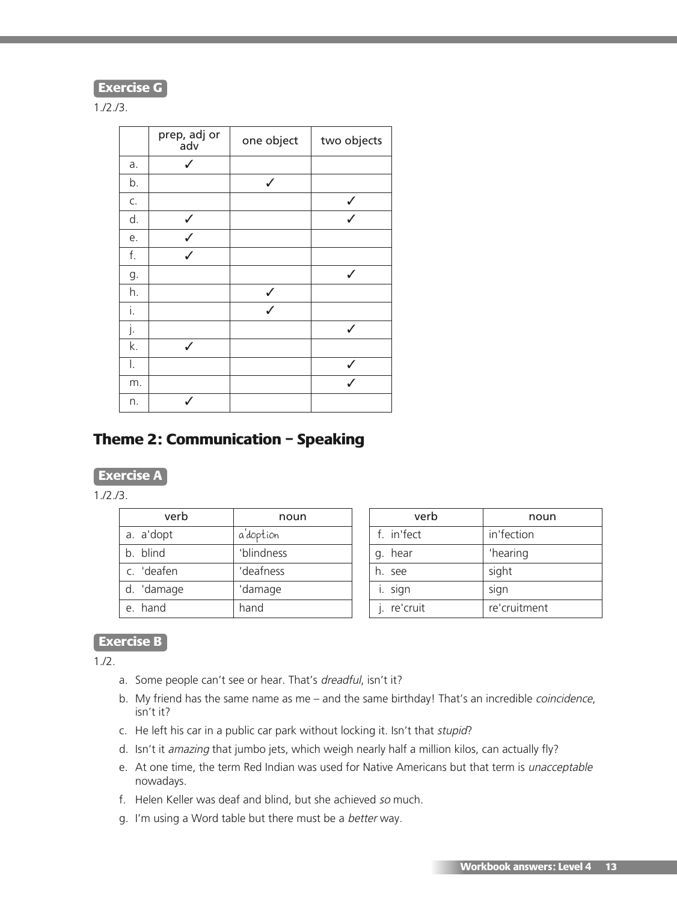**Exercise G**

1./2./3.

|    | prep, adj or<br>adv | one object   | two objects  |
|----|---------------------|--------------|--------------|
| a. | ✓                   |              |              |
| b. |                     | $\checkmark$ |              |
| C. |                     |              | ✓            |
| d. | $\checkmark$        |              | $\checkmark$ |
| е. | $\checkmark$        |              |              |
| f. | $\checkmark$        |              |              |
| g. |                     |              | $\checkmark$ |
| h. |                     | ✓            |              |
| i. |                     | $\checkmark$ |              |
| j. |                     |              | $\checkmark$ |
| k. |                     |              |              |
| I. |                     |              | ✓            |
| m. |                     |              |              |
| n. |                     |              |              |

# **Theme 2: Communication – Speaking**

## **Exercise A**

1./2./3.

| verb       | noun       |
|------------|------------|
| a. a'dopt  | a'doption  |
| b. blind   | 'blindness |
| c. 'deafen | 'deafness  |
| d. 'damage | 'damage    |
| e hand     | hand       |

| verb        | noun         |
|-------------|--------------|
| f. in'fect  | in'fection   |
| g. hear     | 'hearing     |
| h. see      | sight        |
| i. sign     | sign         |
| j. re'cruit | re'cruitment |

# **Exercise B**

 $1.12.$ 

- a. Some people can't see or hear. That's dreadful, isn't it?
- b. My friend has the same name as me and the same birthday! That's an incredible coincidence, isn't it?
- c. He left his car in a public car park without locking it. Isn't that stupid?
- d. Isn't it amazing that jumbo jets, which weigh nearly half a million kilos, can actually fly?
- e. At one time, the term Red Indian was used for Native Americans but that term is unacceptable nowadays.
- f. Helen Keller was deaf and blind, but she achieved so much.
- g. I'm using a Word table but there must be a better way.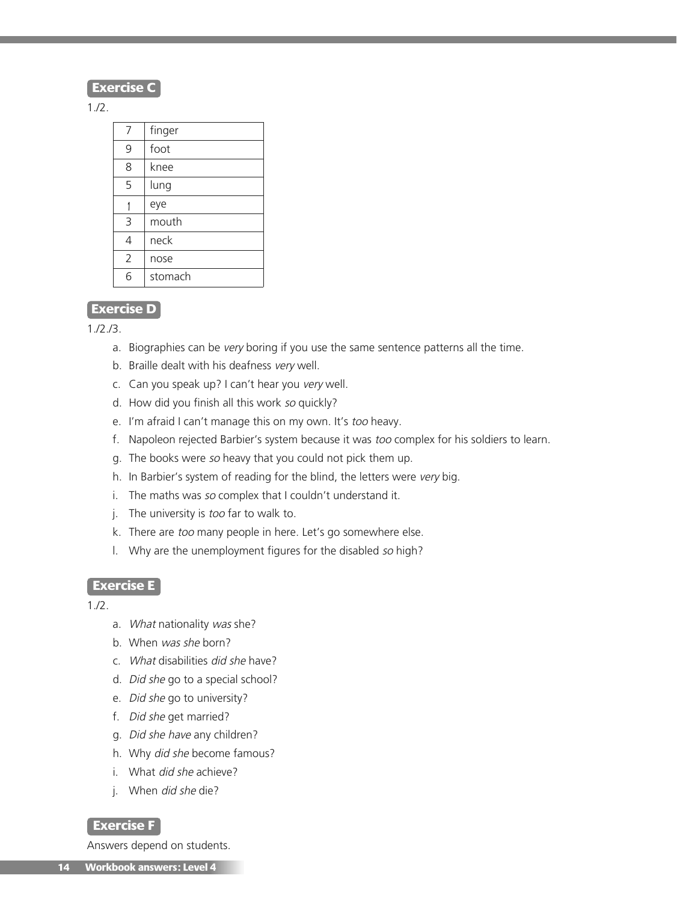## **Exercise C**

1./2.

| 7 | finger  |
|---|---------|
| 9 | foot    |
| 8 | knee    |
| 5 | lung    |
|   | eye     |
| 3 | mouth   |
| 4 | neck    |
| 2 | nose    |
| ĥ | stomach |

### **Exercise D**

1./2./3.

- a. Biographies can be very boring if you use the same sentence patterns all the time.
- b. Braille dealt with his deafness very well.
- c. Can you speak up? I can't hear you very well.
- d. How did you finish all this work so quickly?
- e. I'm afraid I can't manage this on my own. It's too heavy.
- f. Napoleon rejected Barbier's system because it was too complex for his soldiers to learn.
- g. The books were so heavy that you could not pick them up.
- h. In Barbier's system of reading for the blind, the letters were very big.
- i. The maths was so complex that I couldn't understand it.
- j. The university is *too* far to walk to.
- k. There are too many people in here. Let's go somewhere else.
- l. Why are the unemployment figures for the disabled so high?

#### **Exercise E**

1./2.

- a. What nationality was she?
- b. When was she born?
- c. What disabilities did she have?
- d. Did she go to a special school?
- e. Did she go to university?
- f. Did she get married?
- g. Did she have any children?
- h. Why did she become famous?
- i. What *did she* achieve?
- i. When *did she* die?

#### **Exercise F**

Answers depend on students.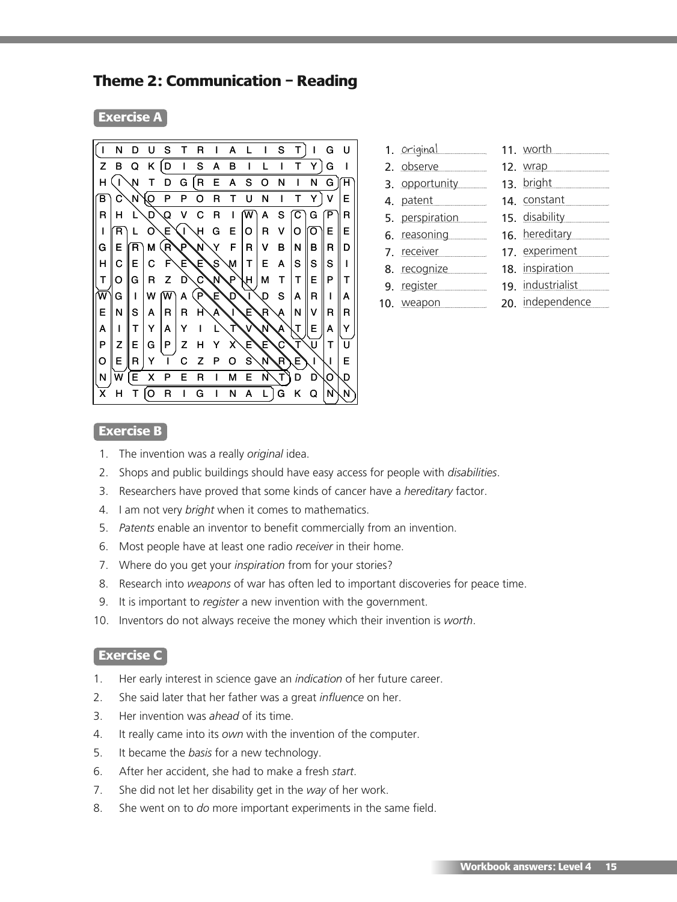# **Theme 2: Communication – Reading**

#### **Exercise A**



| 1. <u>Original</u> | 11. worth         |
|--------------------|-------------------|
| 2. observe         | 12. wrap          |
| 3. opportunity     | 13. bright        |
| 4. patent          | 14. constant      |
| 5. perspiration    | 15. disability    |
| 6. reasoning       | 16. hereditary    |
| 7. receiver        | 17. experiment    |
| 8. recognize       | 18. inspiration   |
| 9. register        | 19. industrialist |
| 10. weapon         | 20. independence  |
|                    |                   |

# **Exercise B**

- 1. The invention was a really *original* idea.
- 2. Shops and public buildings should have easy access for people with *disabilities*.
- 3. Researchers have proved that some kinds of cancer have a *hereditary* factor.
- 4. I am not very *bright* when it comes to mathematics.
- 5. *Patents* enable an inventor to benefit commercially from an invention.
- 6. Most people have at least one radio *receiver* in their home.
- 7. Where do you get your *inspiration* from for your stories?
- 8. Research into *weapons* of war has often led to important discoveries for peace time.
- 9. It is important to *register* a new invention with the government.
- 10. Inventors do not always receive the money which their invention is *worth*.

#### **Exercise C**

- 1. Her early interest in science gave an *indication* of her future career.
- 2. She said later that her father was a great *influence* on her.
- 3. Her invention was *ahead* of its time.
- 4. It really came into its *own* with the invention of the computer.
- 5. It became the *basis* for a new technology.
- 6. After her accident, she had to make a fresh *start*.
- 7. She did not let her disability get in the *way* of her work.
- 8. She went on to *do* more important experiments in the same field.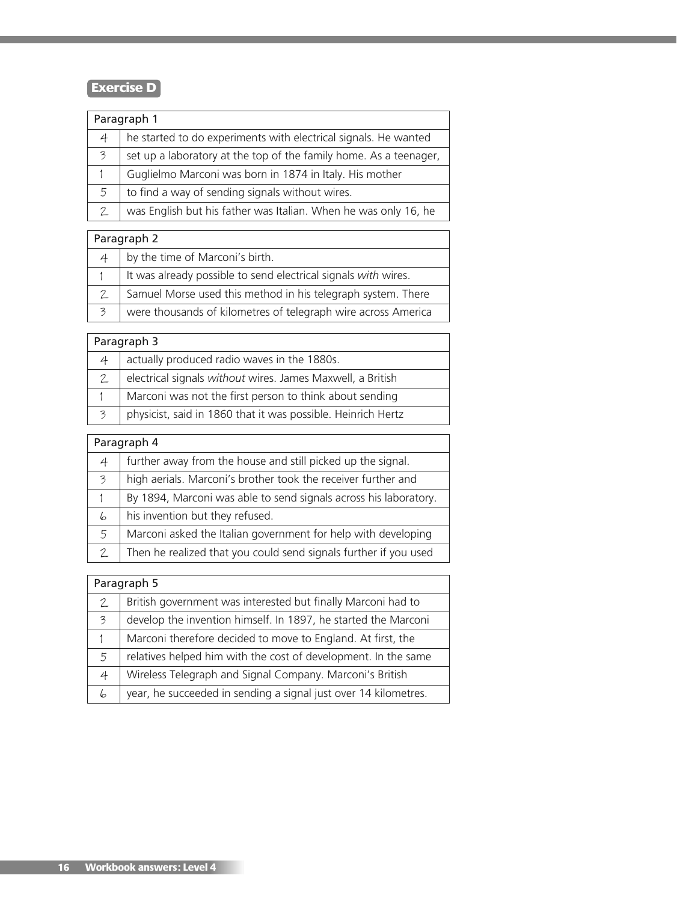# **Exercise D**

| Paragraph 1 |                                                                   |  |  |
|-------------|-------------------------------------------------------------------|--|--|
| 4           | he started to do experiments with electrical signals. He wanted   |  |  |
| 3           | set up a laboratory at the top of the family home. As a teenager, |  |  |
| 1           | Guglielmo Marconi was born in 1874 in Italy. His mother           |  |  |
| 5           | to find a way of sending signals without wires.                   |  |  |
| 2           | was English but his father was Italian. When he was only 16, he   |  |  |
|             |                                                                   |  |  |

| Paragraph 2 |                                                                |  |  |
|-------------|----------------------------------------------------------------|--|--|
|             | by the time of Marconi's birth.                                |  |  |
|             | It was already possible to send electrical signals with wires. |  |  |
|             | Samuel Morse used this method in his telegraph system. There   |  |  |
| 3           | were thousands of kilometres of telegraph wire across America  |  |  |

| Paragraph 3 |                                                              |  |  |
|-------------|--------------------------------------------------------------|--|--|
| 4           | actually produced radio waves in the 1880s.                  |  |  |
|             | electrical signals without wires. James Maxwell, a British   |  |  |
|             | Marconi was not the first person to think about sending      |  |  |
| 3           | physicist, said in 1860 that it was possible. Heinrich Hertz |  |  |

| Paragraph 4   |                                                                  |  |  |
|---------------|------------------------------------------------------------------|--|--|
| 4             | further away from the house and still picked up the signal.      |  |  |
| 3             | high aerials. Marconi's brother took the receiver further and    |  |  |
|               | By 1894, Marconi was able to send signals across his laboratory. |  |  |
| 6             | his invention but they refused.                                  |  |  |
| 5             | Marconi asked the Italian government for help with developing    |  |  |
| $\mathcal{P}$ | Then he realized that you could send signals further if you used |  |  |

| Paragraph 5              |                                                                 |  |  |
|--------------------------|-----------------------------------------------------------------|--|--|
| $\mathcal{P}$            | British government was interested but finally Marconi had to    |  |  |
| $\overline{\mathcal{Z}}$ | develop the invention himself. In 1897, he started the Marconi  |  |  |
| 1                        | Marconi therefore decided to move to England. At first, the     |  |  |
| 5                        | relatives helped him with the cost of development. In the same  |  |  |
| 4                        | Wireless Telegraph and Signal Company. Marconi's British        |  |  |
| 6                        | year, he succeeded in sending a signal just over 14 kilometres. |  |  |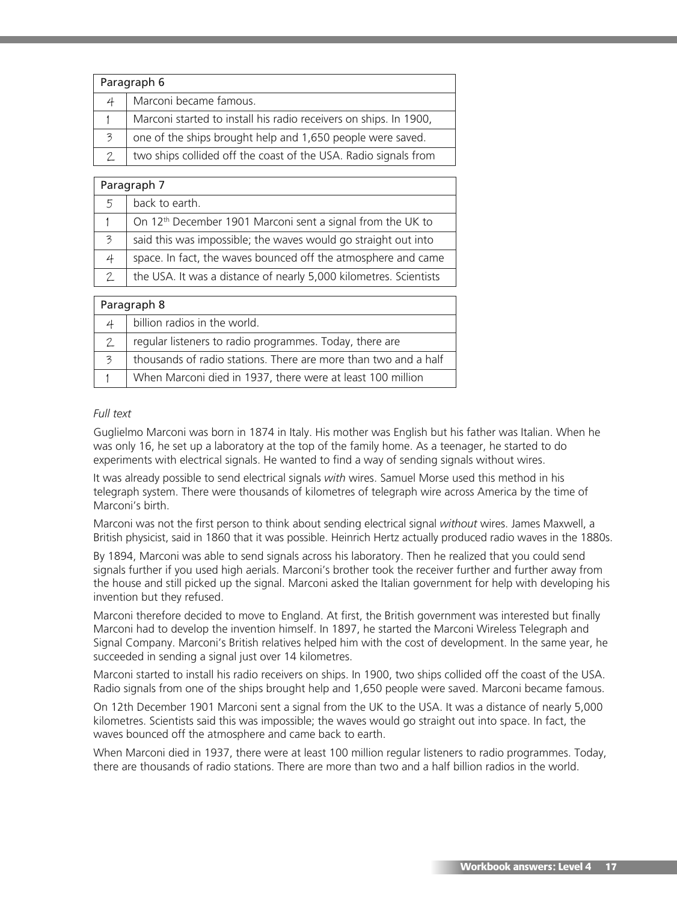| Paragraph 6   |                                                                   |  |  |
|---------------|-------------------------------------------------------------------|--|--|
| 4             | Marconi became famous.                                            |  |  |
|               | Marconi started to install his radio receivers on ships. In 1900, |  |  |
| 3             | one of the ships brought help and 1,650 people were saved.        |  |  |
| $\mathcal{P}$ | two ships collided off the coast of the USA. Radio signals from   |  |  |
|               |                                                                   |  |  |

| Paragraph 7   |                                                                        |  |  |
|---------------|------------------------------------------------------------------------|--|--|
| .5            | back to earth.                                                         |  |  |
|               | On 12 <sup>th</sup> December 1901 Marconi sent a signal from the UK to |  |  |
| 3             | said this was impossible; the waves would go straight out into         |  |  |
| 4             | space. In fact, the waves bounced off the atmosphere and came          |  |  |
| $\mathcal{P}$ | the USA. It was a distance of nearly 5,000 kilometres. Scientists      |  |  |
|               |                                                                        |  |  |

| Paragraph 8 |                                                                 |  |  |
|-------------|-----------------------------------------------------------------|--|--|
|             | billion radios in the world.                                    |  |  |
|             | regular listeners to radio programmes. Today, there are         |  |  |
| 3           | thousands of radio stations. There are more than two and a half |  |  |
|             | When Marconi died in 1937, there were at least 100 million      |  |  |

#### *Full text*

Guglielmo Marconi was born in 1874 in Italy. His mother was English but his father was Italian. When he was only 16, he set up a laboratory at the top of the family home. As a teenager, he started to do experiments with electrical signals. He wanted to find a way of sending signals without wires.

It was already possible to send electrical signals *with* wires. Samuel Morse used this method in his telegraph system. There were thousands of kilometres of telegraph wire across America by the time of Marconi's birth.

Marconi was not the first person to think about sending electrical signal *without* wires. James Maxwell, a British physicist, said in 1860 that it was possible. Heinrich Hertz actually produced radio waves in the 1880s.

By 1894, Marconi was able to send signals across his laboratory. Then he realized that you could send signals further if you used high aerials. Marconi's brother took the receiver further and further away from the house and still picked up the signal. Marconi asked the Italian government for help with developing his invention but they refused.

Marconi therefore decided to move to England. At first, the British government was interested but finally Marconi had to develop the invention himself. In 1897, he started the Marconi Wireless Telegraph and Signal Company. Marconi's British relatives helped him with the cost of development. In the same year, he succeeded in sending a signal just over 14 kilometres.

Marconi started to install his radio receivers on ships. In 1900, two ships collided off the coast of the USA. Radio signals from one of the ships brought help and 1,650 people were saved. Marconi became famous.

On 12th December 1901 Marconi sent a signal from the UK to the USA. It was a distance of nearly 5,000 kilometres. Scientists said this was impossible; the waves would go straight out into space. In fact, the waves bounced off the atmosphere and came back to earth.

When Marconi died in 1937, there were at least 100 million regular listeners to radio programmes. Today, there are thousands of radio stations. There are more than two and a half billion radios in the world.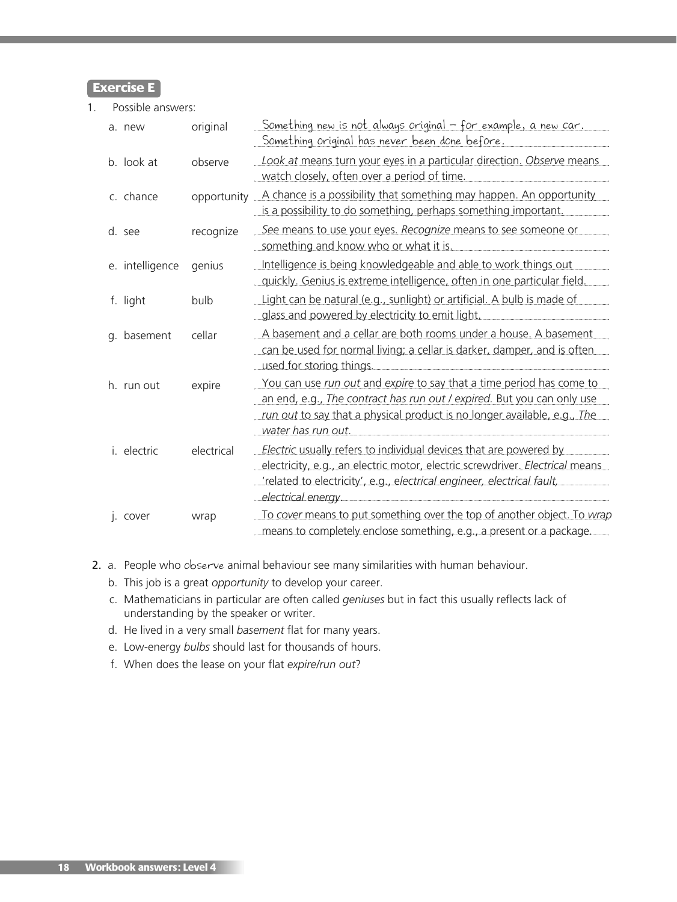**Exercise E**

1. Possible answers:

| a. new          | original    | <u> Something new is not always original - for example, a new car.</u><br><u>Something original has never been done before.</u>                                                                                                                   |
|-----------------|-------------|---------------------------------------------------------------------------------------------------------------------------------------------------------------------------------------------------------------------------------------------------|
| b. look at      | observe     | Look at means turn your eyes in a particular direction. Observe means<br>watch closely, often over a period of time.                                                                                                                              |
| c. chance       | opportunity | A chance is a possibility that something may happen. An opportunity<br>is a possibility to do something, perhaps something important.                                                                                                             |
| d. see          | recognize   | See means to use your eyes. Recognize means to see someone or<br>something and know who or what it is.                                                                                                                                            |
| e. intelligence | genius      | Intelligence is being knowledgeable and able to work things out<br>quickly. Genius is extreme intelligence, often in one particular field.                                                                                                        |
| f. light        | bulb        | Light can be natural (e.g., sunlight) or artificial. A bulb is made of<br>glass and powered by electricity to emit light.                                                                                                                         |
| g. basement     | cellar      | A basement and a cellar are both rooms under a house. A basement<br>can be used for normal living; a cellar is darker, damper, and is often<br>used for storing things.                                                                           |
| h. run out      | expire      | You can use run out and expire to say that a time period has come to<br>an end, e.g., The contract has run out / expired. But you can only use<br>run out to say that a physical product is no longer available, e.g., The<br>water has run out.  |
| i. electric     | electrical  | Electric usually refers to individual devices that are powered by<br>electricity, e.g., an electric motor, electric screwdriver. Electrical means<br>"related to electricity', e.g., electrical engineer, electrical fault,<br>electrical energy. |
| I. COVer        | wrap        | To cover means to put something over the top of another object. To wrap<br>means to completely enclose something, e.g., a present or a package.                                                                                                   |

- 2. a. People who observe animal behaviour see many similarities with human behaviour.
	- b. This job is a great *opportunity* to develop your career.
	- c. Mathematicians in particular are often called *geniuses* but in fact this usually reflects lack of understanding by the speaker or writer.
	- d. He lived in a very small *basement* flat for many years.
	- e. Low-energy *bulbs* should last for thousands of hours.
	- f. When does the lease on your flat *expire/run out*?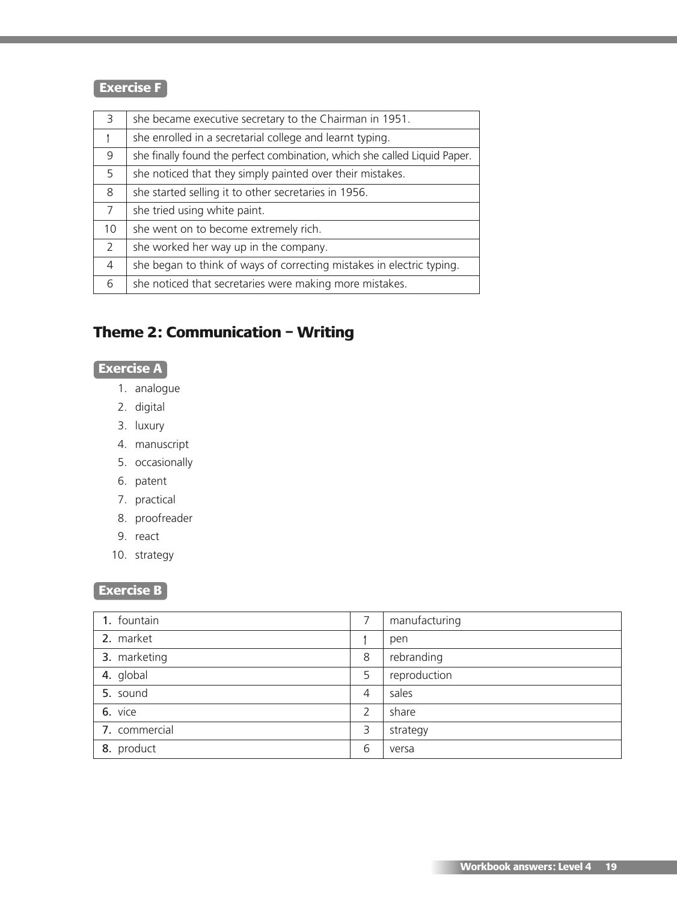# **Exercise F**

| 3  | she became executive secretary to the Chairman in 1951.                   |
|----|---------------------------------------------------------------------------|
|    | she enrolled in a secretarial college and learnt typing.                  |
| 9  | she finally found the perfect combination, which she called Liquid Paper. |
| 5  | she noticed that they simply painted over their mistakes.                 |
| 8  | she started selling it to other secretaries in 1956.                      |
| 7  | she tried using white paint.                                              |
| 10 | she went on to become extremely rich.                                     |
| 2  | she worked her way up in the company.                                     |
| 4  | she began to think of ways of correcting mistakes in electric typing.     |
| 6  | she noticed that secretaries were making more mistakes.                   |
|    |                                                                           |

# **Theme 2: Communication – Writing**

# **Exercise A**

- 1. analogue
- 2. digital
- 3. luxury
- 4. manuscript
- 5. occasionally
- 6. patent
- 7. practical
- 8. proofreader
- 9. react
- 10. strategy

# **Exercise B**

| 1. fountain   | 7              | manufacturing |
|---------------|----------------|---------------|
| 2. market     |                | pen           |
| 3. marketing  | 8              | rebranding    |
| 4. global     | 5              | reproduction  |
| 5. sound      | $\overline{4}$ | sales         |
| 6. vice       | 2              | share         |
| 7. commercial | 3              | strategy      |
| 8. product    | 6              | versa         |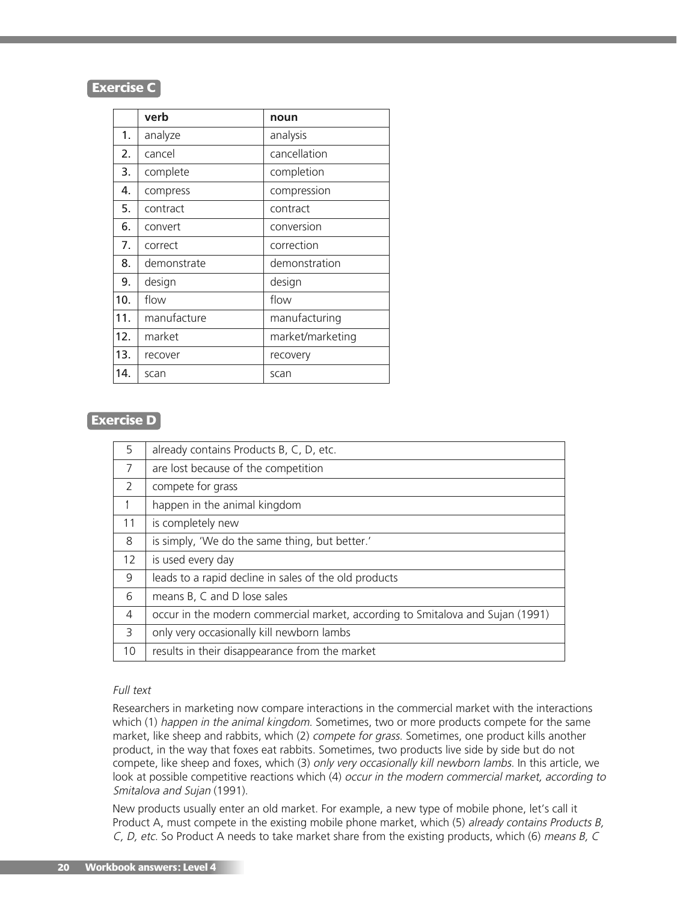## **Exercise C**

|     | verb        | noun             |
|-----|-------------|------------------|
| 1.  | analyze     | analysis         |
| 2.  | cancel      | cancellation     |
| 3.  | complete    | completion       |
| 4.  | compress    | compression      |
| 5.  | contract    | contract         |
| 6.  | convert     | conversion       |
| 7.  | correct     | correction       |
| 8.  | demonstrate | demonstration    |
| 9.  | design      | design           |
| 10. | flow        | flow             |
| 11. | manufacture | manufacturing    |
| 12. | market      | market/marketing |
| 13. | recover     | recovery         |
| 14. | scan        | scan             |

## **Exercise D**

| 5              | already contains Products B, C, D, etc.                                        |
|----------------|--------------------------------------------------------------------------------|
| $\overline{7}$ | are lost because of the competition                                            |
| $\mathcal{P}$  | compete for grass                                                              |
|                | happen in the animal kingdom                                                   |
| 11             | is completely new                                                              |
| 8              | is simply, 'We do the same thing, but better.'                                 |
| 12             | is used every day                                                              |
| 9              | leads to a rapid decline in sales of the old products                          |
| 6              | means B, C and D lose sales                                                    |
| 4              | occur in the modern commercial market, according to Smitalova and Sujan (1991) |
| 3              | only very occasionally kill newborn lambs                                      |
| 10             | results in their disappearance from the market                                 |

#### Full text

Researchers in marketing now compare interactions in the commercial market with the interactions which (1) happen in the animal kingdom. Sometimes, two or more products compete for the same market, like sheep and rabbits, which (2) compete for grass. Sometimes, one product kills another product, in the way that foxes eat rabbits. Sometimes, two products live side by side but do not compete, like sheep and foxes, which (3) only very occasionally kill newborn lambs. In this article, we look at possible competitive reactions which (4) occur in the modern commercial market, according to Smitalova and Sujan (1991).

New products usually enter an old market. For example, a new type of mobile phone, let's call it Product A, must compete in the existing mobile phone market, which (5) already contains Products B, C, D, etc. So Product A needs to take market share from the existing products, which (6) means B, C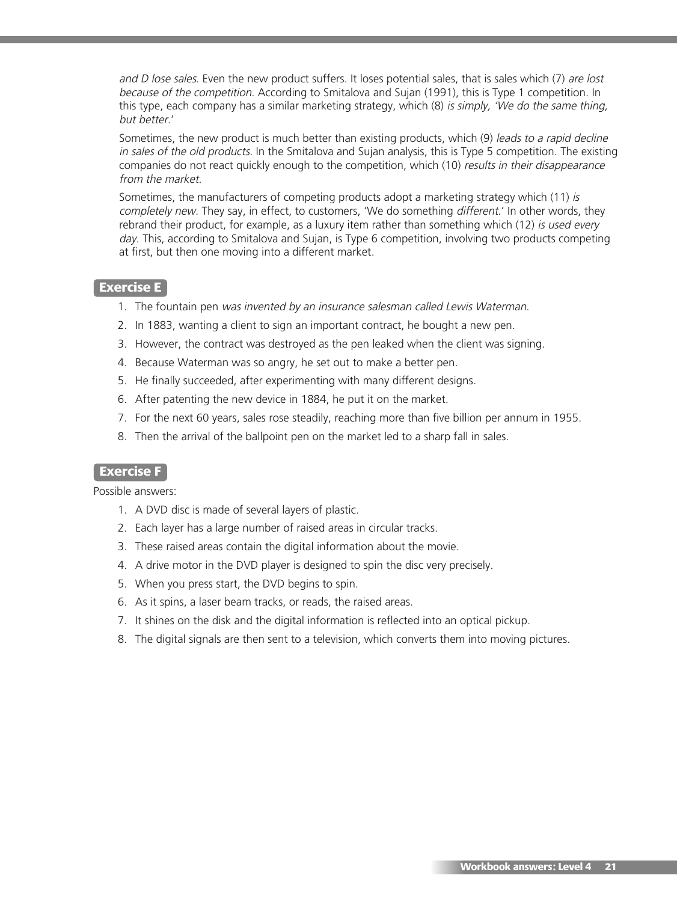and D lose sales. Even the new product suffers. It loses potential sales, that is sales which (7) are lost because of the competition. According to Smitalova and Sujan (1991), this is Type 1 competition. In this type, each company has a similar marketing strategy, which (8) is simply, 'We do the same thing, but better.'

Sometimes, the new product is much better than existing products, which (9) leads to <sup>a</sup> rapid decline in sales of the old products. In the Smitalova and Sujan analysis, this is Type 5 competition. The existing companies do not react quickly enough to the competition, which (10) results in their disappearance from the market.

Sometimes, the manufacturers of competing products adopt a marketing strategy which (11) is completely new. They say, in effect, to customers, 'We do something different.' In other words, they rebrand their product, for example, as a luxury item rather than something which (12) is used every day. This, according to Smitalova and Sujan, is Type 6 competition, involving two products competing at first, but then one moving into a different market.

#### **Exercise E**

- 1. The fountain pen was invented by an insurance salesman called Lewis Waterman.
- 2. In 1883, wanting a client to sign an important contract, he bought a new pen.
- 3. However, the contract was destroyed as the pen leaked when the client was signing.
- 4. Because Waterman was so angry, he set out to make a better pen.
- 5. He finally succeeded, after experimenting with many different designs.
- 6. After patenting the new device in 1884, he put it on the market.
- 7. For the next 60 years, sales rose steadily, reaching more than five billion per annum in 1955.
- 8. Then the arrival of the ballpoint pen on the market led to a sharp fall in sales.

#### **Exercise F**

Possible answers:

- 1. A DVD disc is made of several layers of plastic.
- 2. Each layer has a large number of raised areas in circular tracks.
- 3. These raised areas contain the digital information about the movie.
- 4. A drive motor in the DVD player is designed to spin the disc very precisely.
- 5. When you press start, the DVD begins to spin.
- 6. As it spins, a laser beam tracks, or reads, the raised areas.
- 7. It shines on the disk and the digital information is reflected into an optical pickup.
- 8. The digital signals are then sent to a television, which converts them into moving pictures.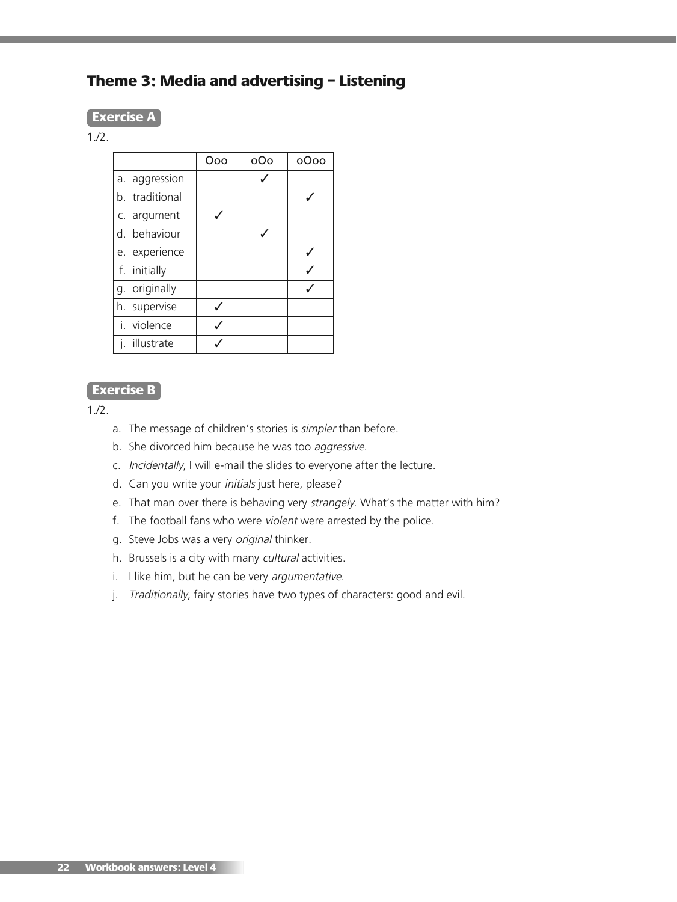# **Theme 3: Media and advertising – Listening**

#### **Exercise A**

#### 1./2.

|                | Ooo | oOo | oOoo |
|----------------|-----|-----|------|
| a. aggression  |     |     |      |
| b. traditional |     |     |      |
| c. argument    |     |     |      |
| d. behaviour   |     |     |      |
| e. experience  |     |     |      |
| f. initially   |     |     |      |
| g. originally  |     |     |      |
| h. supervise   |     |     |      |
| i. violence    |     |     |      |
| illustrate     |     |     |      |

## **Exercise B**

 $1.12.$ 

- a. The message of children's stories is *simpler* than before.
- b. She divorced him because he was too aggressive.
- c. Incidentally, I will e-mail the slides to everyone after the lecture.
- d. Can you write your *initials* just here, please?
- e. That man over there is behaving very strangely. What's the matter with him?
- f. The football fans who were violent were arrested by the police.
- g. Steve Jobs was a very original thinker.
- h. Brussels is a city with many cultural activities.
- i. I like him, but he can be very argumentative.
- j. Traditionally, fairy stories have two types of characters: good and evil.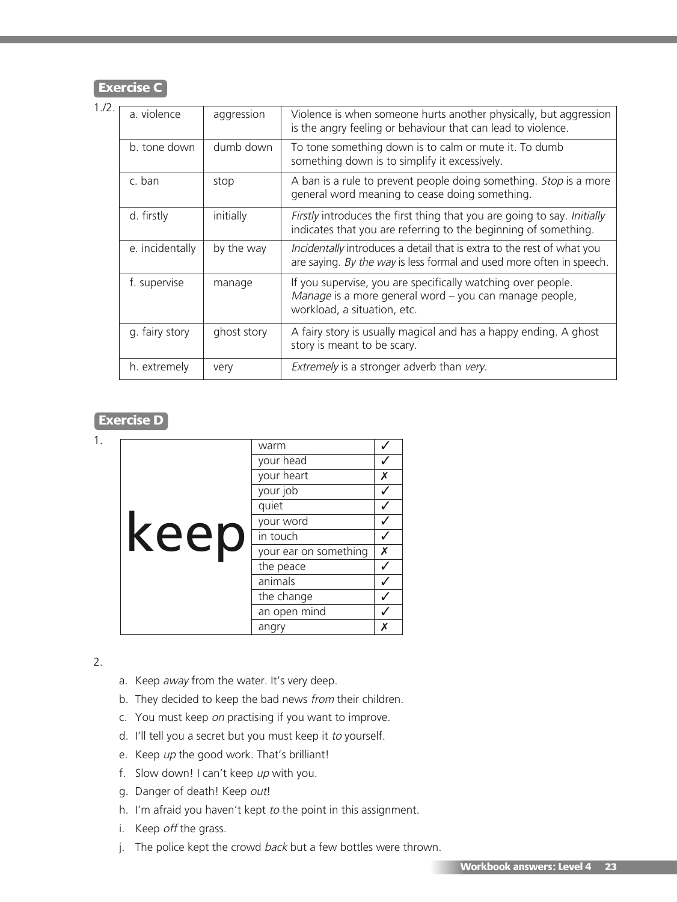## **Exercise C**

| $1/2$ . | a. violence     | aggression  | Violence is when someone hurts another physically, but aggression<br>is the angry feeling or behaviour that can lead to violence.                     |
|---------|-----------------|-------------|-------------------------------------------------------------------------------------------------------------------------------------------------------|
|         | b. tone down    | dumb down   | To tone something down is to calm or mute it. To dumb<br>something down is to simplify it excessively.                                                |
|         | c. ban          | stop        | A ban is a rule to prevent people doing something. Stop is a more<br>general word meaning to cease doing something.                                   |
|         | d. firstly      | initially   | Firstly introduces the first thing that you are going to say. Initially<br>indicates that you are referring to the beginning of something.            |
|         | e. incidentally | by the way  | Incidentally introduces a detail that is extra to the rest of what you<br>are saying. By the way is less formal and used more often in speech.        |
|         | f. supervise    | manage      | If you supervise, you are specifically watching over people.<br>Manage is a more general word - you can manage people,<br>workload, a situation, etc. |
|         | g. fairy story  | ghost story | A fairy story is usually magical and has a happy ending. A ghost<br>story is meant to be scary.                                                       |
|         | h. extremely    | very        | Extremely is a stronger adverb than very.                                                                                                             |

## **Exercise D**

|      | warm                  |                    |
|------|-----------------------|--------------------|
|      | your head             |                    |
|      | your heart            | Х                  |
|      | your job              |                    |
|      | quiet                 |                    |
|      | your word             |                    |
| keep | in touch              |                    |
|      | your ear on something | $\pmb{\mathsf{X}}$ |
|      | the peace             |                    |
|      | animals               |                    |
|      | the change            |                    |
|      | an open mind          |                    |
|      | angry                 | Х                  |

2.

- a. Keep away from the water. It's very deep.
- b. They decided to keep the bad news from their children.
- c. You must keep on practising if you want to improve.
- d. I'll tell you a secret but you must keep it to yourself.
- e. Keep up the good work. That's brilliant!
- f. Slow down! I can't keep up with you.
- g. Danger of death! Keep out!
- h. I'm afraid you haven't kept to the point in this assignment.
- i. Keep off the grass.
- j. The police kept the crowd back but a few bottles were thrown.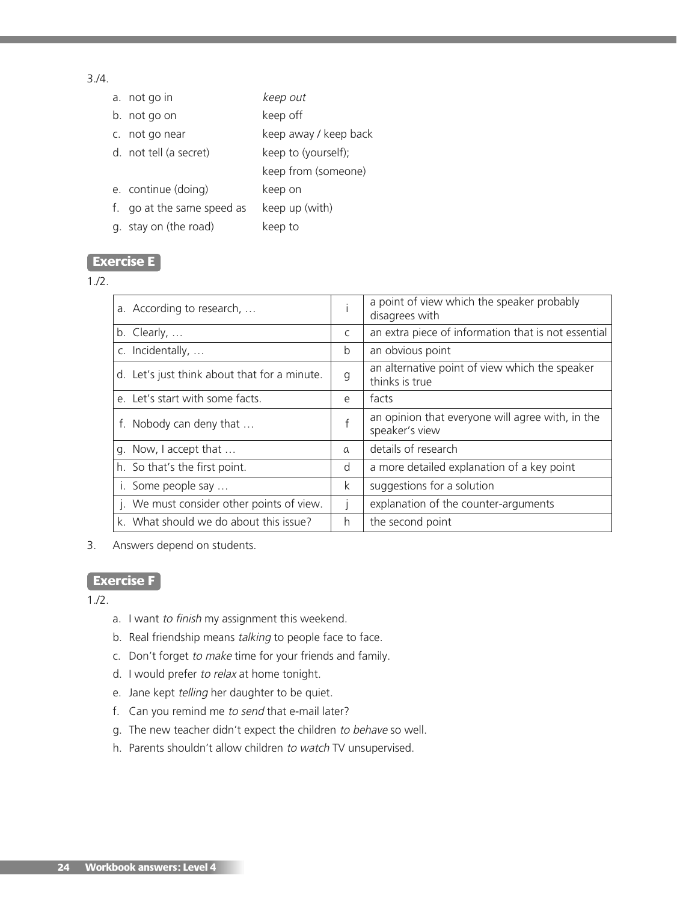### 3./4.

| a. not go in               | keep out              |
|----------------------------|-----------------------|
| b. not go on               | keep off              |
| c. not go near             | keep away / keep back |
| d. not tell (a secret)     | keep to (yourself);   |
|                            | keep from (someone)   |
| e. continue (doing)        | keep on               |
| f. go at the same speed as | keep up (with)        |
| g. stay on (the road)      | keep to               |

### **Exercise E**

#### 1./2.

| a. According to research,                    |              | a point of view which the speaker probably<br>disagrees with       |
|----------------------------------------------|--------------|--------------------------------------------------------------------|
| b. Clearly, $\dots$                          | C            | an extra piece of information that is not essential                |
| c. Incidentally,                             | b            | an obvious point                                                   |
| d. Let's just think about that for a minute. | g            | an alternative point of view which the speaker<br>thinks is true   |
| e. Let's start with some facts.              | e            | facts                                                              |
| f. Nobody can deny that                      | $\mathsf{f}$ | an opinion that everyone will agree with, in the<br>speaker's view |
| g. Now, I accept that                        | $\alpha$     | details of research                                                |
| h. So that's the first point.                | d            | a more detailed explanation of a key point                         |
| i. Some people say                           | k            | suggestions for a solution                                         |
| j. We must consider other points of view.    |              | explanation of the counter-arguments                               |
| k. What should we do about this issue?       | h            | the second point                                                   |

3. Answers depend on students.

# **Exercise F**

- a. I want to finish my assignment this weekend.
- b. Real friendship means talking to people face to face.
- c. Don't forget to make time for your friends and family.
- d. I would prefer to relax at home tonight.
- e. Jane kept telling her daughter to be quiet.
- f. Can you remind me to send that e-mail later?
- g. The new teacher didn't expect the children to behave so well.
- h. Parents shouldn't allow children to watch TV unsupervised.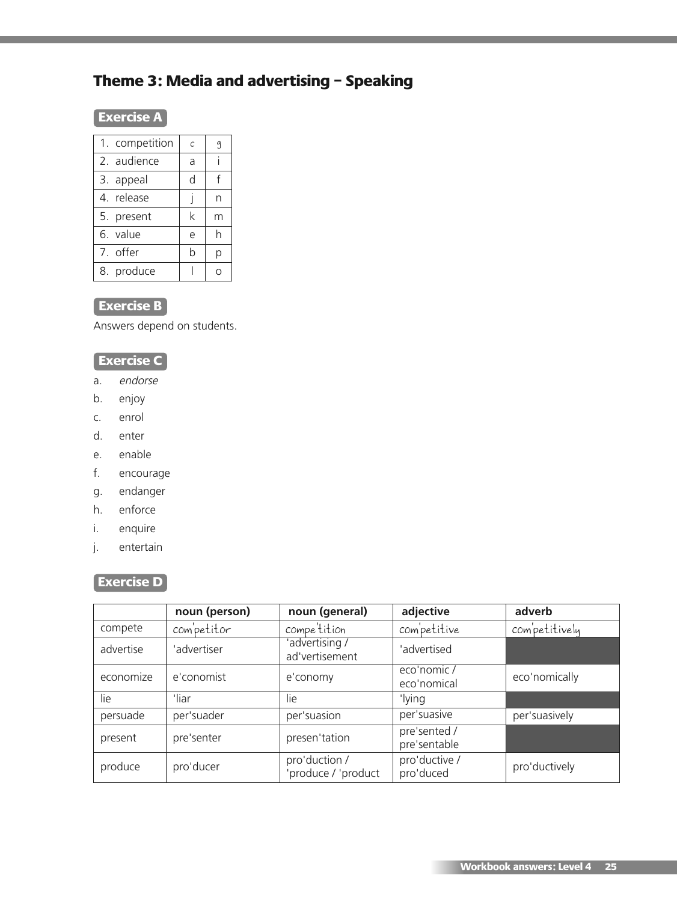# **Theme 3: Media and advertising – Speaking**

# **Exercise A**

| 1. competition | $\mathcal{C}$ | 9 |
|----------------|---------------|---|
| 2. audience    | a             |   |
| 3. appeal      | d             | f |
| 4. release     |               | n |
| 5. present     | k             | m |
| 6. value       | e             | h |
| 7. offer       | b             | р |
| 8. produce     |               |   |

# **Exercise B**

Answers depend on students.

# **Exercise C**

- a. endorse
- b. enjoy
- c. enrol
- d. enter
- e. enable
- f. encourage
- g. endanger
- h. enforce
- i. enquire
- j. entertain

# **Exercise D**

|           | noun (person) | noun (general)                       | adjective                    | adverb        |
|-----------|---------------|--------------------------------------|------------------------------|---------------|
| compete   | competitor    | compe <sup>'</sup> tition            | competitive                  | competitively |
| advertise | 'advertiser   | 'advertising /<br>ad'vertisement     | 'advertised                  |               |
| economize | e'conomist    | e'conomy                             | eco'nomic /<br>eco'nomical   | eco'nomically |
| lie       | 'liar         | lie                                  | 'lying                       |               |
| persuade  | per'suader    | per'suasion                          | per'suasive                  | per'suasively |
| present   | pre'senter    | presen'tation                        | pre'sented /<br>pre'sentable |               |
| produce   | pro'ducer     | pro'duction /<br>'produce / 'product | pro'ductive /<br>pro'duced   | pro'ductively |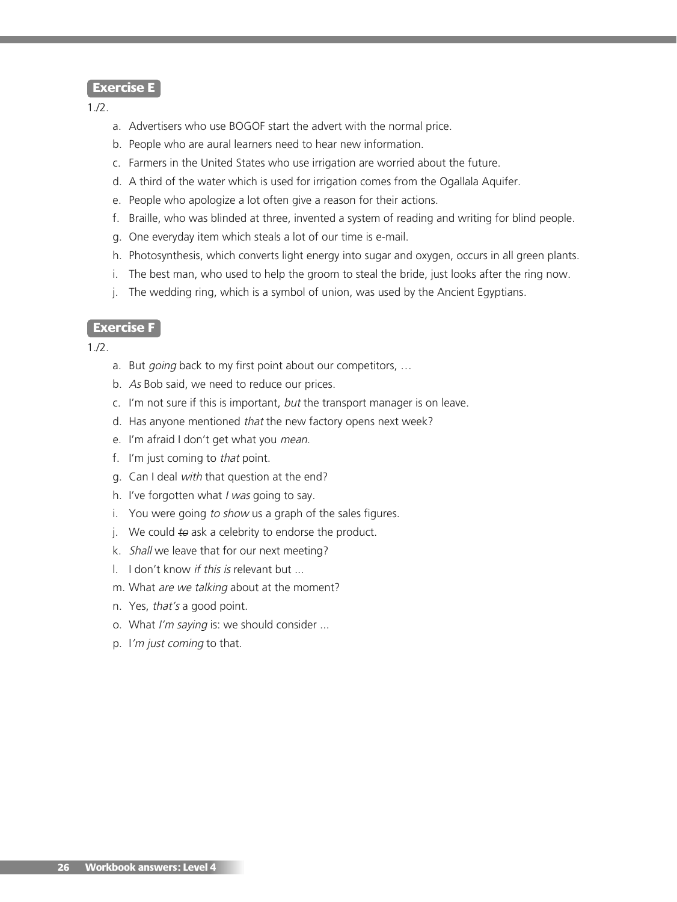#### **Exercise E**

1./2.

- a. Advertisers who use BOGOF start the advert with the normal price.
- b. People who are aural learners need to hear new information.
- c. Farmers in the United States who use irrigation are worried about the future.
- d. A third of the water which is used for irrigation comes from the Ogallala Aquifer.
- e. People who apologize a lot often give a reason for their actions.
- f. Braille, who was blinded at three, invented a system of reading and writing for blind people.
- g. One everyday item which steals a lot of our time is e-mail.
- h. Photosynthesis, which converts light energy into sugar and oxygen, occurs in all green plants.
- i. The best man, who used to help the groom to steal the bride, just looks after the ring now.
- j. The wedding ring, which is a symbol of union, was used by the Ancient Egyptians.

#### **Exercise F**

- a. But going back to my first point about our competitors, ...
- b. As Bob said, we need to reduce our prices.
- c. I'm not sure if this is important, but the transport manager is on leave.
- d. Has anyone mentioned that the new factory opens next week?
- e. I'm afraid I don't get what you mean.
- f. I'm just coming to that point.
- g. Can I deal with that question at the end?
- h. I've forgotten what I was going to say.
- i. You were going to show us a graph of the sales figures.
- j. We could  $t\theta$  ask a celebrity to endorse the product.
- k. Shall we leave that for our next meeting?
- l. I don't know if this is relevant but ...
- m. What are we talking about at the moment?
- n. Yes, that's a good point.
- o. What I'm saying is: we should consider ...
- p. I'm just coming to that.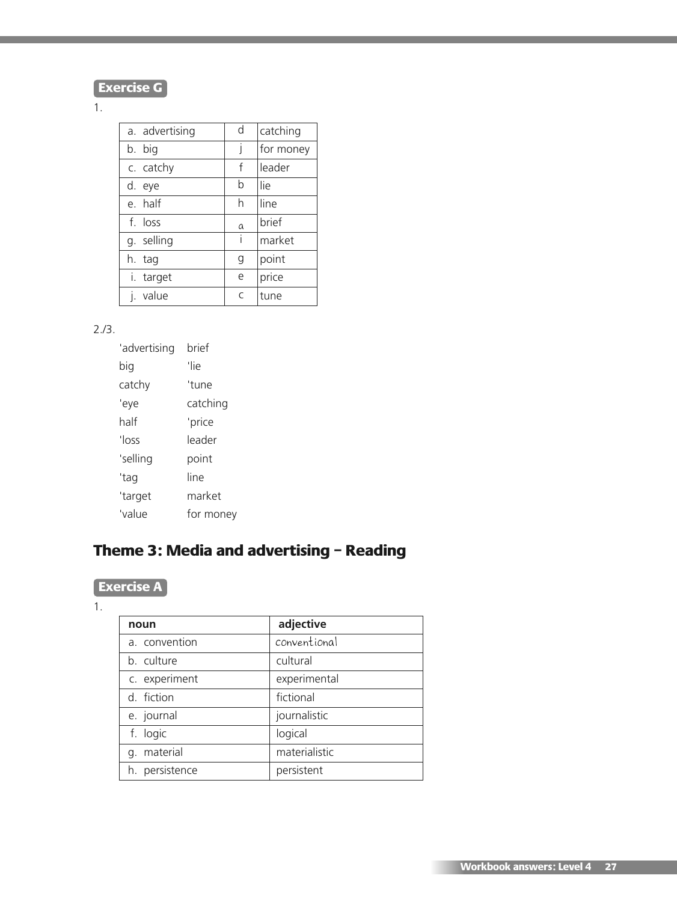

## 1.

| a. advertising | d | catching  |
|----------------|---|-----------|
| b. big         |   | for money |
| c. catchy      | f | leader    |
| d. eye         | b | lie       |
| e half         | h | line      |
| f. loss        | a | brief     |
| g. selling     | i | market    |
| h. tag         | g | point     |
| i. target      | e | price     |
| value          | C | tune      |

## 2./3.

| 'advertising | brief     |
|--------------|-----------|
| big          | 'lie      |
| catchy       | 'tune     |
| 'eye         | catching  |
| half         | 'price    |
| 'loss        | leader    |
| 'selling     | point     |
| 'tag         | line      |
| 'target      | market    |
| 'value       | for money |

# **Theme 3: Media and advertising – Reading**

# **Exercise A**

#### 1.

| noun           | adjective     |
|----------------|---------------|
| a. convention  | conventional  |
| b. culture     | cultural      |
| c. experiment  | experimental  |
| d. fiction     | fictional     |
| e. journal     | journalistic  |
| f. logic       | logical       |
| g. material    | materialistic |
| h. persistence | persistent    |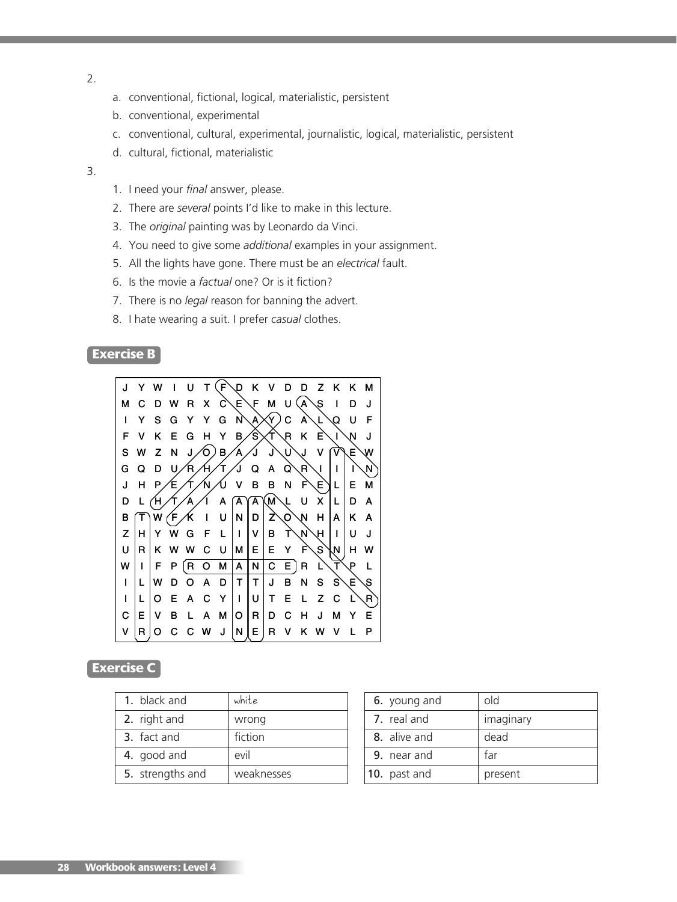- 2.
- a. conventional, fictional, logical, materialistic, persistent
- b. conventional, experimental
- c. conventional, cultural, experimental, journalistic, logical, materialistic, persistent
- d. cultural, fictional, materialistic
- 3.
- 1. I need your *final* answer, please.
- 2. There are *several* points I'd like to make in this lecture.
- 3. The *original* painting was by Leonardo da Vinci.
- 4. You need to give some *additional* examples in your assignment.
- 5. All the lights have gone. There must be an *electrical* fault.
- 6. Is the movie a *factual* one? Or is it fiction?
- 7. There is no *legal* reason for banning the advert.
- 8. I hate wearing a suit. I prefer *casual* clothes.

## **Exercise B**



### **Exercise C**

| 1. black and     | white      |
|------------------|------------|
| 2. right and     | wrong      |
| 3. fact and      | fiction    |
| 4. good and      | evil       |
| 5. strengths and | weaknesses |

| 6. young and | old       |
|--------------|-----------|
| 7. real and  | imaginary |
| 8. alive and | dead      |
| 9. near and  | far       |
| 10. past and | present   |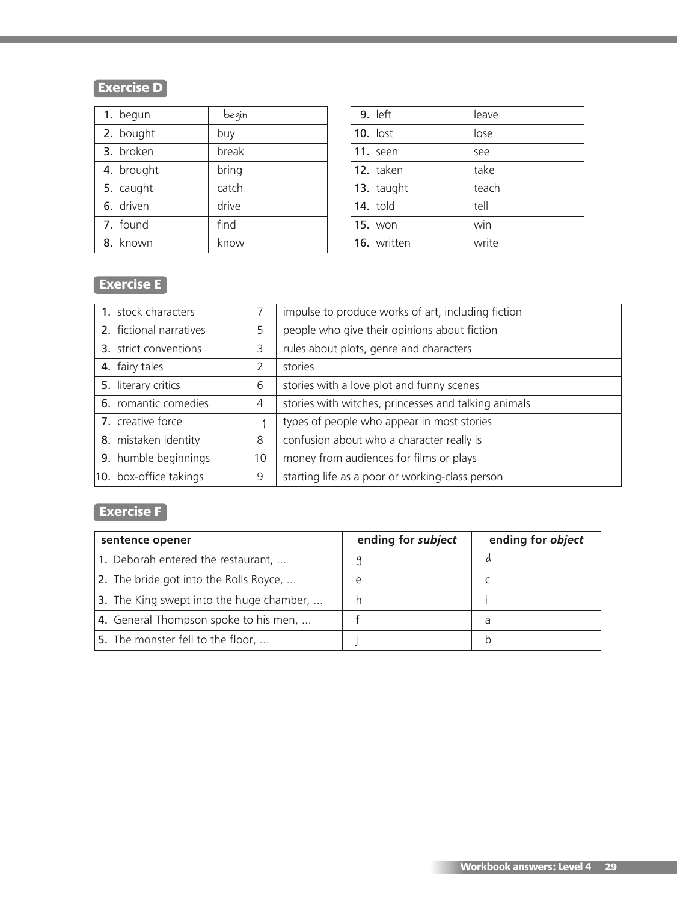# **Exercise D**

| 1. begun   | begin |
|------------|-------|
| 2. bought  | buy   |
| 3. broken  | break |
| 4. brought | bring |
| 5. caught  | catch |
| 6. driven  | drive |
| 7. found   | find  |
| 8. known   | know  |

| 9. left        | leave |
|----------------|-------|
| $10.$ lost     | lose  |
| 11. seen       | see   |
| 12. taken      | take  |
| 13. taught     | teach |
| 14. told       | tell  |
| <b>15. won</b> | win   |
| 16. written    | write |

# **Exercise E**

| 1. stock characters     |    | impulse to produce works of art, including fiction   |
|-------------------------|----|------------------------------------------------------|
| 2. fictional narratives | 5  | people who give their opinions about fiction         |
| 3. strict conventions   | 3  | rules about plots, genre and characters              |
| 4. fairy tales          | 2  | stories                                              |
| 5. literary critics     | 6  | stories with a love plot and funny scenes            |
| 6. romantic comedies    | 4  | stories with witches, princesses and talking animals |
| 7. creative force       |    | types of people who appear in most stories           |
| 8. mistaken identity    | 8  | confusion about who a character really is            |
| 9. humble beginnings    | 10 | money from audiences for films or plays              |
| 10. box-office takings  | 9  | starting life as a poor or working-class person      |

# **Exercise F**

| sentence opener                          | ending for subject | ending for object |
|------------------------------------------|--------------------|-------------------|
| 1. Deborah entered the restaurant,       |                    |                   |
| 2. The bride got into the Rolls Royce,   | e                  |                   |
| 3. The King swept into the huge chamber, |                    |                   |
| 4. General Thompson spoke to his men,    |                    | a                 |
| 5. The monster fell to the floor,        |                    |                   |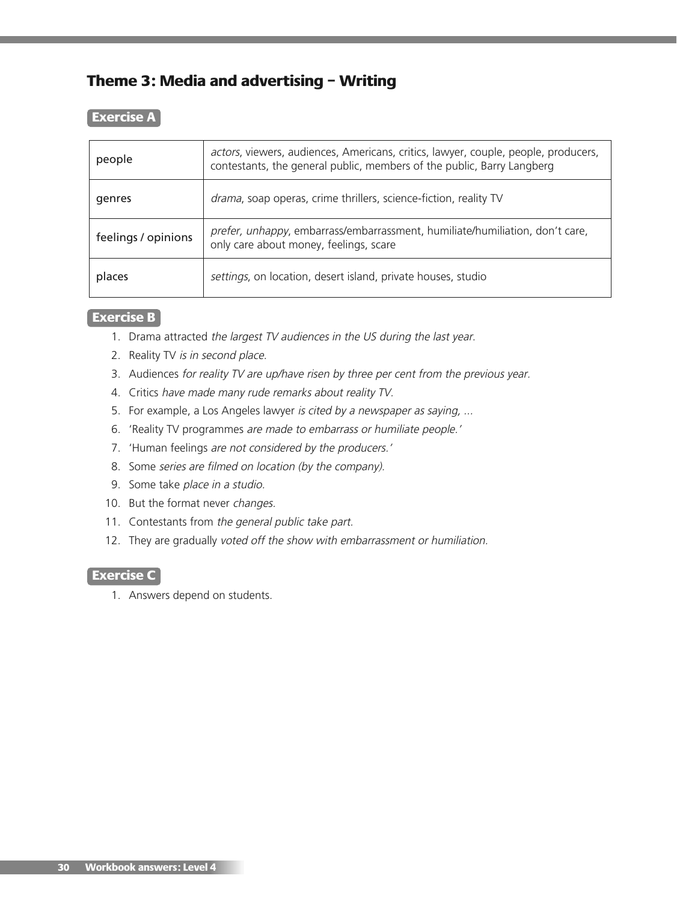# **Theme 3: Media and advertising – Writing**

#### **Exercise A**

| people              | actors, viewers, audiences, Americans, critics, lawyer, couple, people, producers,<br>contestants, the general public, members of the public, Barry Langberg |
|---------------------|--------------------------------------------------------------------------------------------------------------------------------------------------------------|
| genres              | drama, soap operas, crime thrillers, science-fiction, reality TV                                                                                             |
| feelings / opinions | prefer, unhappy, embarrass/embarrassment, humiliate/humiliation, don't care,<br>only care about money, feelings, scare                                       |
| places              | settings, on location, desert island, private houses, studio                                                                                                 |

## **Exercise B**

- 1. Drama attracted the largest TV audiences in the US during the last year.
- 2. Reality TV is in second place.
- 3. Audiences for reality TV are up/have risen by three per cent from the previous year.
- 4. Critics have made many rude remarks about reality TV.
- 5. For example, a Los Angeles lawyer is cited by a newspaper as saying, ...
- 6. 'Reality TV programmes are made to embarrass or humiliate people.'
- 7. 'Human feelings are not considered by the producers.'
- 8. Some series are filmed on location (by the company).
- 9. Some take place in <sup>a</sup> studio.
- 10. But the format never changes.
- 11. Contestants from the general public take part.
- 12. They are gradually voted off the show with embarrassment or humiliation.

## **Exercise C**

1. Answers depend on students.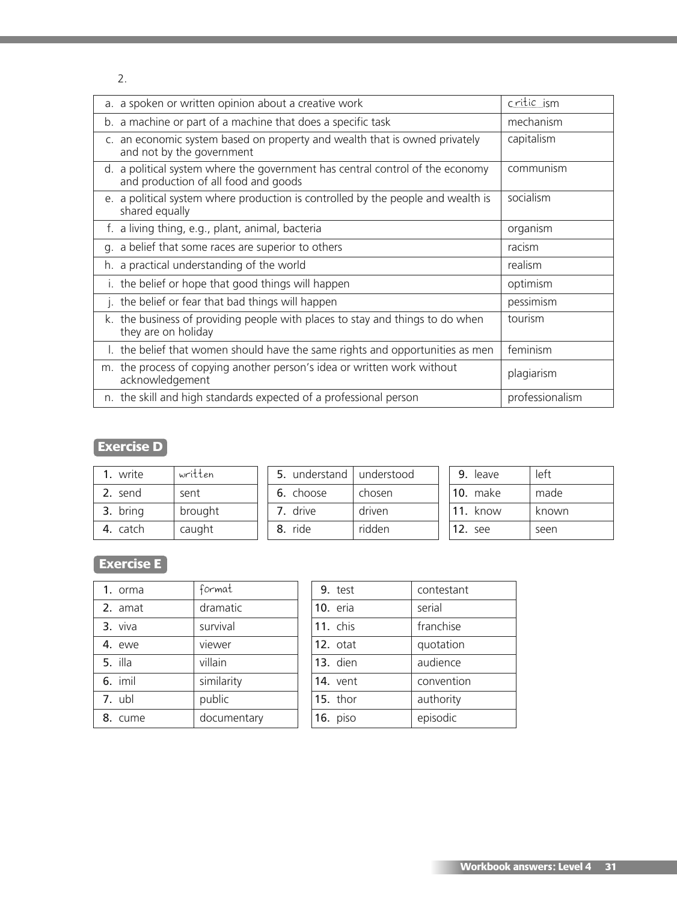2.

| a. a spoken or written opinion about a creative work                                                                  | critic ism      |  |
|-----------------------------------------------------------------------------------------------------------------------|-----------------|--|
| b. a machine or part of a machine that does a specific task                                                           | mechanism       |  |
| c. an economic system based on property and wealth that is owned privately<br>and not by the government               | capitalism      |  |
| d. a political system where the government has central control of the economy<br>and production of all food and goods | communism       |  |
| e. a political system where production is controlled by the people and wealth is<br>shared equally                    | socialism       |  |
| f. a living thing, e.g., plant, animal, bacteria                                                                      | organism        |  |
| g. a belief that some races are superior to others<br>racism                                                          |                 |  |
| h. a practical understanding of the world                                                                             | realism         |  |
| i. the belief or hope that good things will happen                                                                    | optimism        |  |
| j. the belief or fear that bad things will happen                                                                     | pessimism       |  |
| k. the business of providing people with places to stay and things to do when<br>they are on holiday                  | tourism         |  |
| I. the belief that women should have the same rights and opportunities as men                                         | feminism        |  |
| m. the process of copying another person's idea or written work without<br>acknowledgement                            | plagiarism      |  |
| n. the skill and high standards expected of a professional person                                                     | professionalism |  |

# **Exercise D**

| write    | written | 5. understand   understood |        | 9. leave        | left  |
|----------|---------|----------------------------|--------|-----------------|-------|
| 2. send  | sent    | 6. choose                  | chosen | <b>10.</b> make | made  |
| 3. bring | brought | 7. drive                   | driven | 11. know        | known |
| 4. catch | caught  | 8. ride                    | ridden | <b>12.</b> see  | seen  |

# **Exercise E**

| 1. orma | format      |
|---------|-------------|
| 2. amat | dramatic    |
| 3. viva | survival    |
| 4. ewe  | viewer      |
| 5. illa | villain     |
| 6. imil | similarity  |
| 7. ubl  | public      |
| 8. cume | documentary |

| 9. test         | contestant |
|-----------------|------------|
| 10. eria        | serial     |
| <b>11.</b> chis | franchise  |
| 12. otat        | quotation  |
| <b>13.</b> dien | audience   |
| 14. vent        | convention |
| 15. thor        | authority  |
| 16. piso        | episodic   |
|                 |            |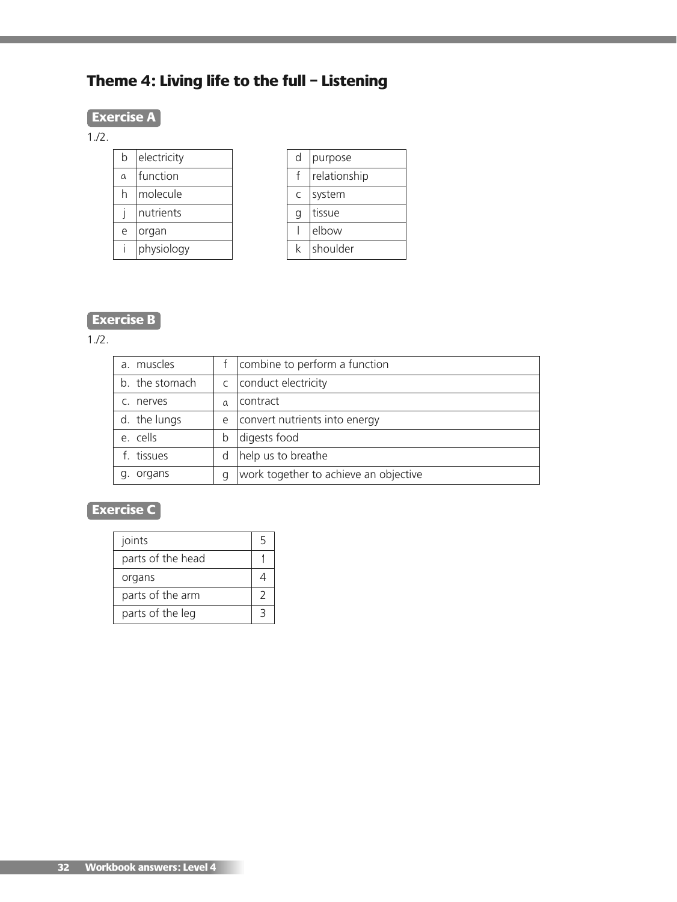# **Theme 4: Living life to the full – Listening**

# **Exercise A**

1./2.

| h        | electricity |
|----------|-------------|
| $\alpha$ | function    |
| h        | molecule    |
|          | nutrients   |
| e        | organ       |
|          | physiology  |

| d | purpose      |
|---|--------------|
|   | relationship |
| C | system       |
| q | tissue       |
|   | elbow        |
|   | shoulder     |

# **Exercise B**

1./2.

| a. muscles     |          | combine to perform a function         |
|----------------|----------|---------------------------------------|
| b. the stomach |          | c   conduct electricity               |
| c. nerves      | $\Omega$ | contract                              |
| d. the lungs   | e        | convert nutrients into energy         |
| e. cells       | b        | digests food                          |
| f. tissues     | d        | help us to breathe                    |
| g. organs      | q        | work together to achieve an objective |

# **Exercise C**

| joints            | ҕ |
|-------------------|---|
| parts of the head |   |
| organs            |   |
| parts of the arm  |   |
| parts of the leg  |   |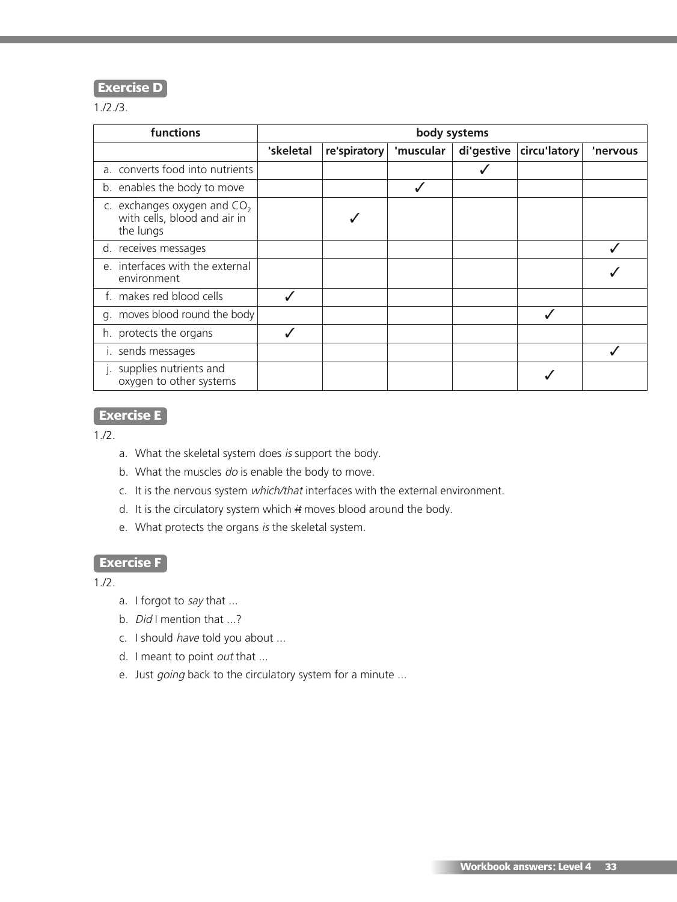## **Exercise D**

1./2./3.

| functions                                                                  | body systems |              |           |            |              |          |
|----------------------------------------------------------------------------|--------------|--------------|-----------|------------|--------------|----------|
|                                                                            | 'skeletal    | re'spiratory | 'muscular | di'gestive | circu'latory | 'nervous |
| a. converts food into nutrients                                            |              |              |           |            |              |          |
| b. enables the body to move                                                |              |              |           |            |              |          |
| c. exchanges oxygen and $CO2$<br>with cells, blood and air in<br>the lungs |              |              |           |            |              |          |
| d. receives messages                                                       |              |              |           |            |              |          |
| e. interfaces with the external<br>environment                             |              |              |           |            |              |          |
| f. makes red blood cells                                                   |              |              |           |            |              |          |
| g. moves blood round the body                                              |              |              |           |            |              |          |
| h. protects the organs                                                     |              |              |           |            |              |          |
| i. sends messages                                                          |              |              |           |            |              |          |
| supplies nutrients and<br>oxygen to other systems                          |              |              |           |            |              |          |

# **Exercise E**

1./2.

- a. What the skeletal system does is support the body.
- b. What the muscles do is enable the body to move.
- c. It is the nervous system which/that interfaces with the external environment.
- d. It is the circulatory system which  $#$  moves blood around the body.
- e. What protects the organs is the skeletal system.

## **Exercise F**

- a. I forgot to say that ...
- b. *Did* I mention that ...?
- c. I should have told you about ...
- d. I meant to point  $out$  that ...
- e. Just going back to the circulatory system for a minute ...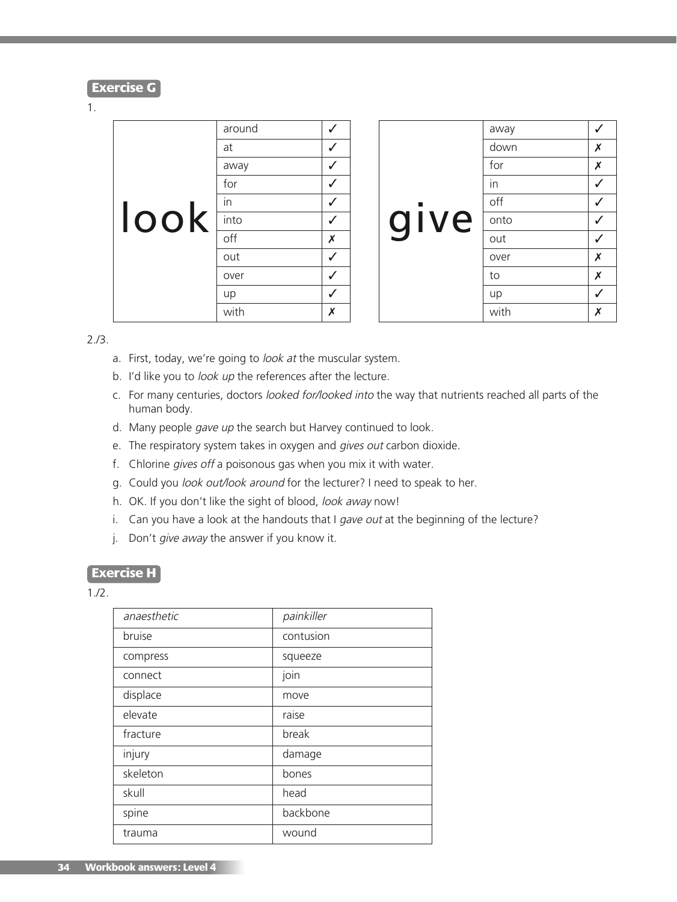#### **Exercise G**

#### 1.

|      | around |   |
|------|--------|---|
|      | at     |   |
|      | away   |   |
|      | for    |   |
|      | in     |   |
| look | into   |   |
|      | off    | Х |
|      | out    |   |
|      | over   |   |
|      | up     |   |
|      | with   | x |

|          | away |   |
|----------|------|---|
|          | down | Х |
|          | for  | X |
|          | in   |   |
| <b>C</b> | off  |   |
| give     | onto |   |
|          | out  |   |
|          | over | X |
|          | to   | X |
|          | up   |   |
|          | with | Χ |

#### 2./3.

- a. First, today, we're going to look at the muscular system.
- b. I'd like you to look up the references after the lecture.
- c. For many centuries, doctors looked for/looked into the way that nutrients reached all parts of the human body.
- d. Many people gave up the search but Harvey continued to look.
- e. The respiratory system takes in oxygen and gives out carbon dioxide.
- f. Chlorine gives off a poisonous gas when you mix it with water.
- g. Could you look out/look around for the lecturer? I need to speak to her.
- h. OK. If you don't like the sight of blood, look away now!
- i. Can you have a look at the handouts that I gave out at the beginning of the lecture?
- j. Don't give away the answer if you know it.

#### **Exercise H**

| anaesthetic | painkiller |
|-------------|------------|
| bruise      | contusion  |
| compress    | squeeze    |
| connect     | join       |
| displace    | move       |
| elevate     | raise      |
| fracture    | break      |
| injury      | damage     |
| skeleton    | bones      |
| skull       | head       |
| spine       | backbone   |
| trauma      | wound      |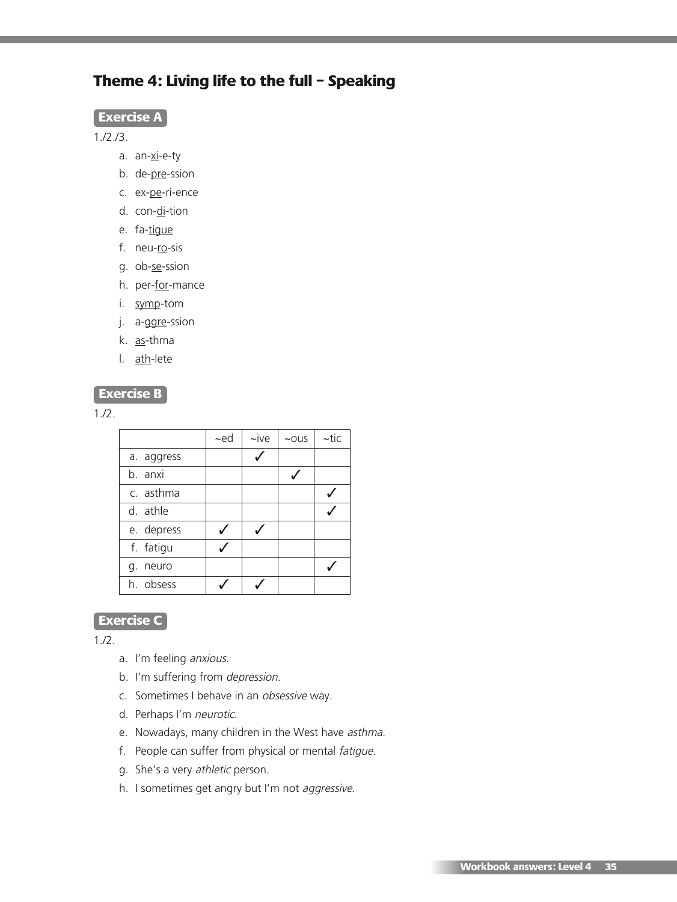# **Theme 4: Living life to the full – Speaking**

#### **Exercise A**

1./2./3.

- a. an-xi-e-ty
- b. de-pre-ssion
- c. ex-pe-ri-ence
- d. con-di-tion
- e. fa-tigue
- f. neu-ro-sis
- g. ob-se-ssion
- h. per-for-mance
- i. symp-tom
- j. a-ggre-ssion
- k. as-thma
- l. ath-lete

### **Exercise B**

1./2.

|             | $-ed$ | $\sim$ ive | $~\sim$ OUS | $\sim$ tic |
|-------------|-------|------------|-------------|------------|
| a. aggress  |       |            |             |            |
| b. anxi     |       |            |             |            |
| c. asthma   |       |            |             |            |
| d. athle    |       |            |             |            |
| e. depress  |       |            |             |            |
| f. fatigu   |       |            |             |            |
| neuro<br>g. |       |            |             |            |
| h. obsess   |       |            |             |            |

# **Exercise C**

- a. I'm feeling anxious.
- b. I'm suffering from depression.
- c. Sometimes I behave in an obsessive way.
- d. Perhaps I'm neurotic.
- e. Nowadays, many children in the West have asthma.
- f. People can suffer from physical or mental fatigue.
- g. She's a very athletic person.
- h. I sometimes get angry but I'm not aggressive.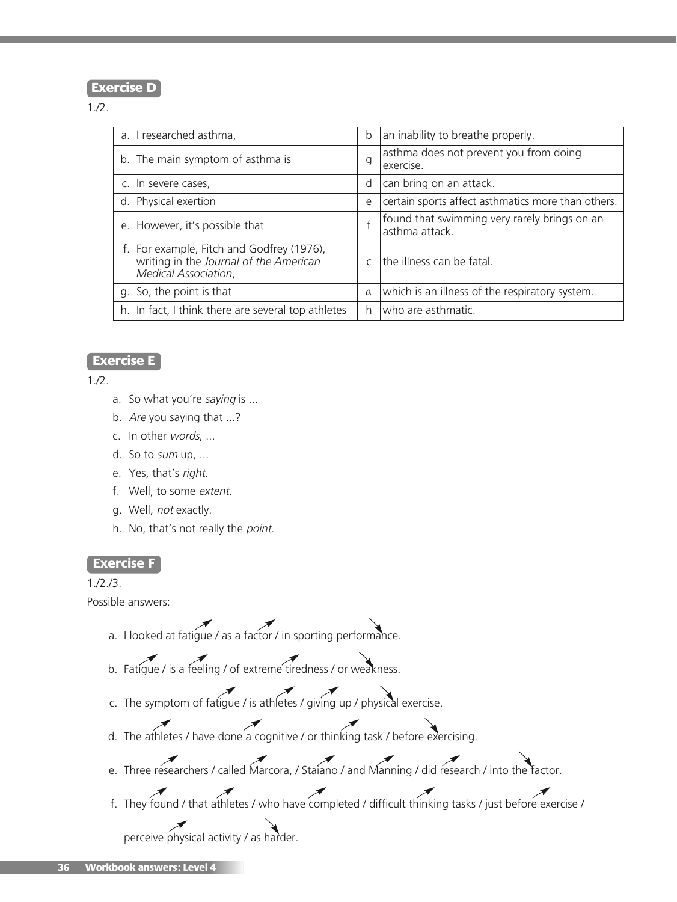#### **Exercise D**

1./2.

| a. I researched asthma,                                                                                     | b             | an inability to breathe properly.                              |
|-------------------------------------------------------------------------------------------------------------|---------------|----------------------------------------------------------------|
| b. The main symptom of asthma is                                                                            | g             | asthma does not prevent you from doing<br>exercise.            |
| c. In severe cases,                                                                                         | d             | can bring on an attack.                                        |
| d. Physical exertion                                                                                        | e             | certain sports affect asthmatics more than others.             |
| e. However, it's possible that                                                                              |               | found that swimming very rarely brings on an<br>asthma attack. |
| f. For example, Fitch and Godfrey (1976),<br>writing in the Journal of the American<br>Medical Association, | $\mathcal{C}$ | the illness can be fatal.                                      |
| g. So, the point is that                                                                                    | $\alpha$      | which is an illness of the respiratory system.                 |
| h. In fact, I think there are several top athletes                                                          | h.            | who are asthmatic.                                             |
|                                                                                                             |               |                                                                |

### **Exercise E**

 $1.12.$ 

- a. So what you're saying is ...
- b. Are you saying that ...?
- c. In other words, ...
- d. So to sum up, ...
- e. Yes, that's right.
- f. Well, to some extent.
- g. Well, not exactly.
- h. No, that's not really the point.

#### **Exercise F**

1./2./3.

Possible answers:

- a. I looked at fatigue / as a factor / in sporting performance.
- b. Fatigue / is a feeling / of extreme tiredness / or weakness.
- c. The symptom of fatigue / is athletes / giving up / physical exercise.
- d. The athletes / have done a cognitive / or thinking task / before exercising.
- e. Three researchers / called Marcora, / Staiano / and Manning / did research / into the factor.
- f. They found / that athletes / who have completed / difficult thinking tasks / just before exercise /

perceive physical activity / as harder.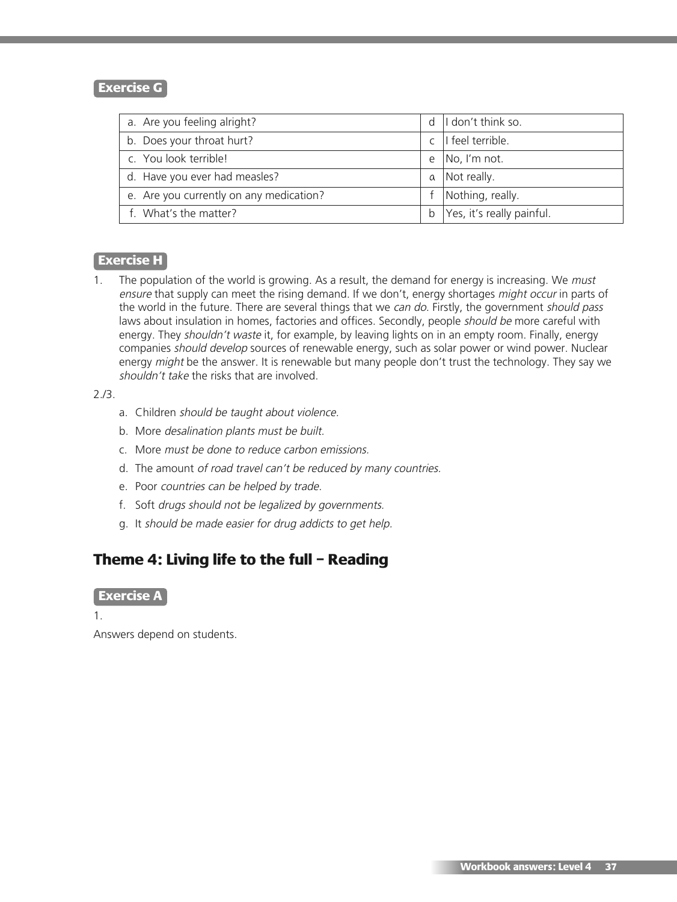## **Exercise G**

| a. Are you feeling alright?             | d | I don't think so.         |
|-----------------------------------------|---|---------------------------|
| b. Does your throat hurt?               |   | I feel terrible.          |
| c. You look terrible!                   | e | No, I'm not.              |
| d. Have you ever had measles?           | a | Not really.               |
| e. Are you currently on any medication? |   | Nothing, really.          |
| f. What's the matter?                   | b | Yes, it's really painful. |

## **Exercise H**

1. The population of the world is growing. As a result, the demand for energy is increasing. We must ensure that supply can meet the rising demand. If we don't, energy shortages might occur in parts of the world in the future. There are several things that we can do. Firstly, the government should pass laws about insulation in homes, factories and offices. Secondly, people *should be* more careful with energy. They shouldn't waste it, for example, by leaving lights on in an empty room. Finally, energy companies *should develop* sources of renewable energy, such as solar power or wind power. Nuclear energy might be the answer. It is renewable but many people don't trust the technology. They say we shouldn't take the risks that are involved.

2./3.

- a. Children should be taught about violence.
- b. More desalination plants must be built.
- c. More must be done to reduce carbon emissions.
- d. The amount of road travel can't be reduced by many countries.
- e. Poor countries can be helped by trade.
- f. Soft drugs should not be legalized by governments.
- g. It should be made easier for drug addicts to get help.

# **Theme 4: Living life to the full – Reading**

#### **Exercise A**

1.

Answers depend on students.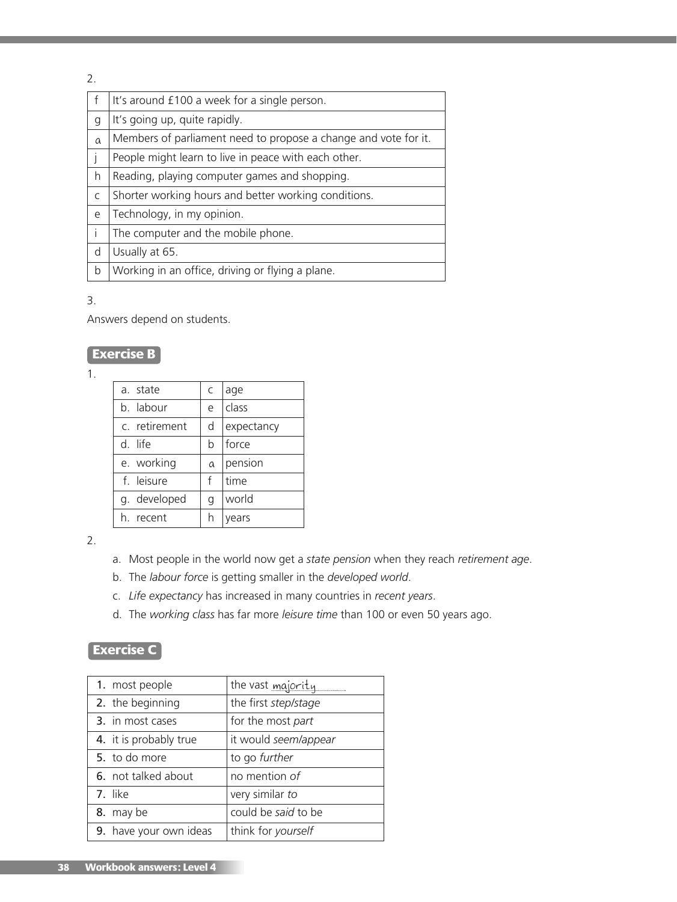2.

|          | It's around £100 a week for a single person.                    |
|----------|-----------------------------------------------------------------|
| g        | It's going up, quite rapidly.                                   |
| $\alpha$ | Members of parliament need to propose a change and vote for it. |
|          | People might learn to live in peace with each other.            |
| h        | Reading, playing computer games and shopping.                   |
| C        | Shorter working hours and better working conditions.            |
| e        | Technology, in my opinion.                                      |
|          | The computer and the mobile phone.                              |
| d        | Usually at 65.                                                  |
| b        | Working in an office, driving or flying a plane.                |

### 3.

Answers depend on students.

# **Exercise B**

1.

| a. state      | C        | age        |
|---------------|----------|------------|
| b. labour     | e        | class      |
| c. retirement | d        | expectancy |
| d. life       | b        | force      |
| e. working    | $\alpha$ | pension    |
| f. leisure    | f        | time       |
| g. developed  | g        | world      |
| recent        |          | ears       |
|               |          |            |

2.

- a. Most people in the world now get a *state pension* when they reach *retirement age*.
- b. The *labour force* is getting smaller in the *developed world*.
- c. *Life expectancy* has increased in many countries in *recent years*.
- d. The *working class* has far more *leisure time* than 100 or even 50 years ago.

# **Exercise C**

| 1. most people         | the vast majority    |
|------------------------|----------------------|
| 2. the beginning       | the first step/stage |
| 3. in most cases       | for the most part    |
| 4. it is probably true | it would seem/appear |
| 5. to do more          | to go further        |
| 6. not talked about    | no mention of        |
| 7. like                | very similar to      |
| 8. may be              | could be said to be  |
| 9. have your own ideas | think for yourself   |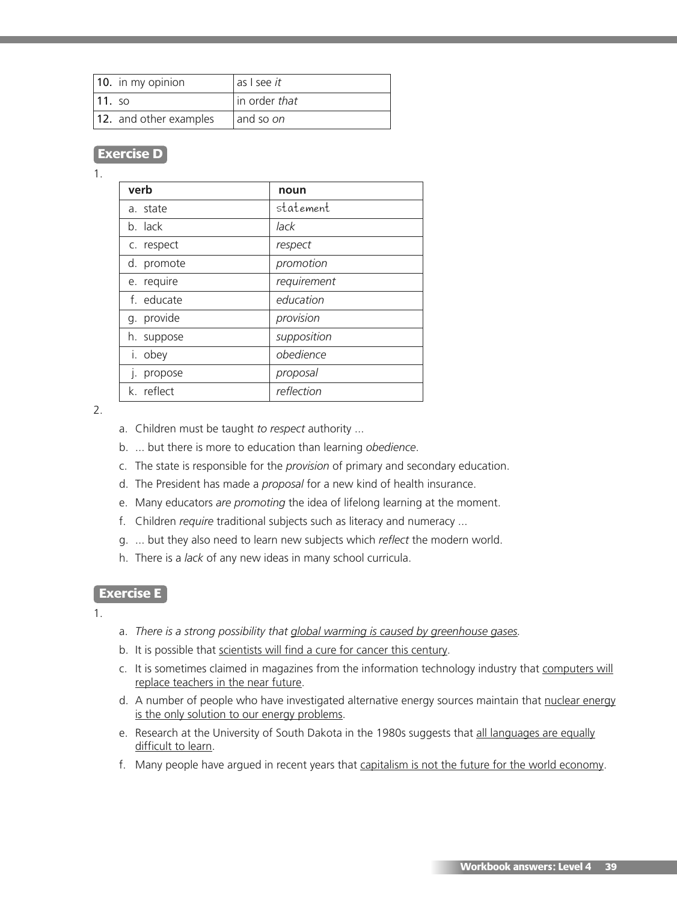| 10. in my opinion      | l as I see <i>it</i> |
|------------------------|----------------------|
| $\vert$ 11. so         | in order that        |
| 12. and other examples | and so on            |

# **Exercise D**

#### 1.

| verb       | noun        |
|------------|-------------|
| a. state   | statement   |
| b. lack    | lack        |
| c. respect | respect     |
| d. promote | promotion   |
| e. require | requirement |
| f. educate | education   |
| g. provide | provision   |
| h. suppose | supposition |
| i. obey    | obedience   |
| j. propose | proposal    |
| k. reflect | reflection  |

#### 2.

- a. Children must be taught *to respect* authority ...
- b. ... but there is more to education than learning *obedience*.
- c. The state is responsible for the *provision* of primary and secondary education.
- d. The President has made a *proposal* for a new kind of health insurance.
- e. Many educators *are promoting* the idea of lifelong learning at the moment.
- f. Children *require* traditional subjects such as literacy and numeracy ...
- g. ... but they also need to learn new subjects which *reflect* the modern world.
- h. There is a *lack* of any new ideas in many school curricula.

#### **Exercise E**

1.

- a. *There is a strong possibility that global warming is caused by greenhouse gases.*
- b. It is possible that scientists will find a cure for cancer this century.
- c. It is sometimes claimed in magazines from the information technology industry that computers will replace teachers in the near future.
- d. A number of people who have investigated alternative energy sources maintain that nuclear energy is the only solution to our energy problems.
- e. Research at the University of South Dakota in the 1980s suggests that all languages are equally difficult to learn.
- f. Many people have argued in recent years that capitalism is not the future for the world economy.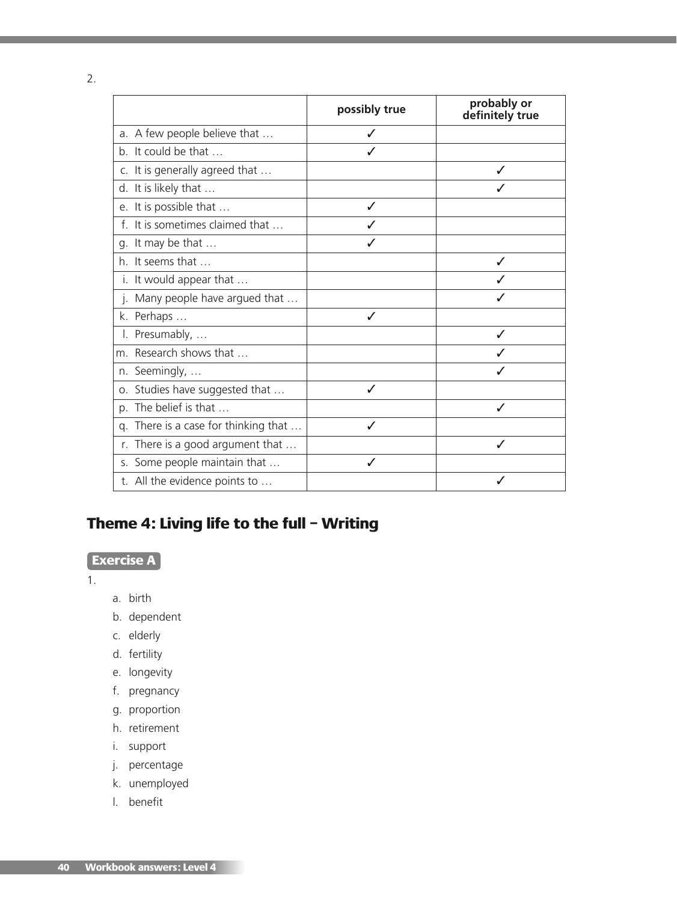2.

|    |                                   | possibly true | probably or<br>definitely true |
|----|-----------------------------------|---------------|--------------------------------|
|    | a. A few people believe that      |               |                                |
|    | b. It could be that               |               |                                |
|    | c. It is generally agreed that    |               |                                |
|    | d. It is likely that              |               |                                |
|    | e. It is possible that            |               |                                |
|    | f. It is sometimes claimed that   |               |                                |
|    | g. It may be that                 |               |                                |
|    | h. It seems that                  |               | J                              |
|    | i. It would appear that           |               |                                |
|    | j. Many people have argued that   |               |                                |
|    | k. Perhaps                        | $\checkmark$  |                                |
|    | I. Presumably,                    |               |                                |
|    | m. Research shows that            |               |                                |
|    | n. Seemingly,                     |               |                                |
|    | o. Studies have suggested that    | ✓             |                                |
|    | p. The belief is that             |               |                                |
| q. | There is a case for thinking that | ℐ             |                                |
|    | r. There is a good argument that  |               | ✓                              |
|    | s. Some people maintain that      |               |                                |
|    | t. All the evidence points to     |               |                                |

# **Theme 4: Living life to the full – Writing**

# **Exercise A**

1.

- a. birth
- b. dependent
- c. elderly
- d. fertility
- e. longevity
- f. pregnancy
- g. proportion
- h. retirement
- i. support
- j. percentage
- k. unemployed
- l. benefit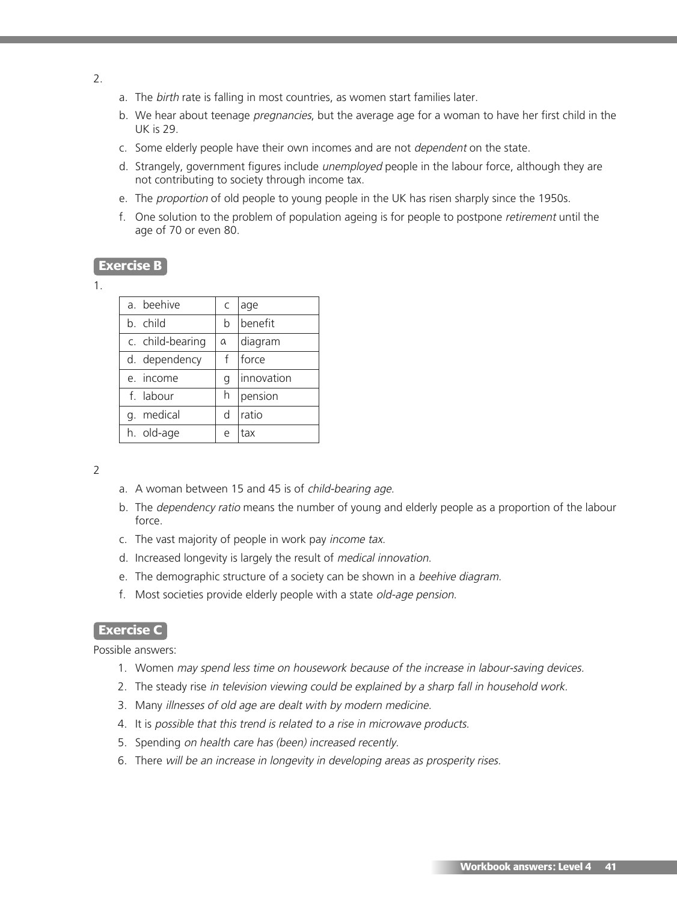- 2.
- a. The birth rate is falling in most countries, as women start families later.
- b. We hear about teenage *pregnancies*, but the average age for a woman to have her first child in the UK is 29.
- c. Some elderly people have their own incomes and are not dependent on the state.
- d. Strangely, government figures include *unemployed* people in the labour force, although they are not contributing to society through income tax.
- e. The proportion of old people to young people in the UK has risen sharply since the 1950s.
- f. One solution to the problem of population ageing is for people to postpone retirement until the age of 70 or even 80.

#### **Exercise B**

1.

| a. beehive       | C | age        |
|------------------|---|------------|
| b. child         | b | benefit    |
| c. child-bearing | a | diagram    |
| d. dependency    | f | force      |
| e. income        | g | innovation |
| f. labour        | h | pension    |
| medical<br>q.    | d | ratio      |
| h. old-age       | e | tax        |

 $\overline{2}$ 

- a. A woman between 15 and 45 is of child-bearing age.
- b. The dependency ratio means the number of young and elderly people as a proportion of the labour force.
- c. The vast majority of people in work pay income tax.
- d. Increased longevity is largely the result of medical innovation.
- e. The demographic structure of a society can be shown in a beehive diagram.
- f. Most societies provide elderly people with a state old-age pension.

#### **Exercise C**

Possible answers:

- 1. Women may spend less time on housework because of the increase in labour-saving devices.
- 2. The steady rise in television viewing could be explained by a sharp fall in household work.
- 3. Many illnesses of old age are dealt with by modern medicine.
- 4. It is possible that this trend is related to <sup>a</sup> rise in microwave products.
- 5. Spending on health care has (been) increased recently.
- 6. There will be an increase in longevity in developing areas as prosperity rises.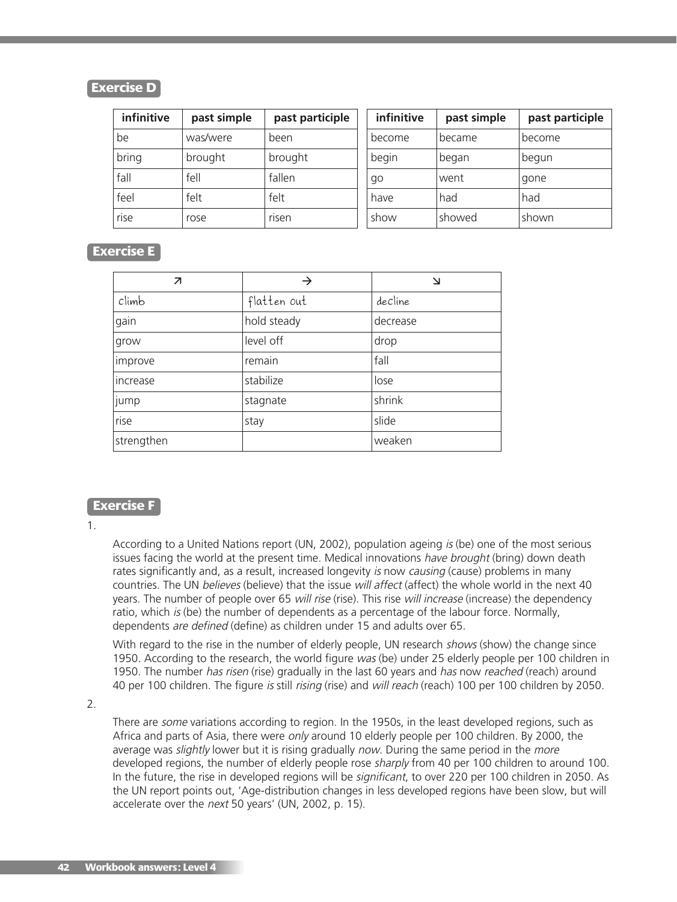## **Exercise D**

| infinitive | past simple | past participle | infinitive | past simple   | past participle |
|------------|-------------|-----------------|------------|---------------|-----------------|
| be         | was/were    | been            | become     | became        | become          |
| bring      | brought     | brought         | begin      | began         | begun           |
| fall       | fell        | fallen          | qo         | went          | gone            |
| feel       | felt        | felt            | have       | had           | had             |
| rise       | rose        | risen           | show       | <b>showed</b> | shown           |

## **Exercise E**

| 7          | $\rightarrow$     | $\Delta$ |  |
|------------|-------------------|----------|--|
| climb      | flatten out       | decline  |  |
| gain       | hold steady       | decrease |  |
| grow       | level off         | drop     |  |
| improve    | remain            | fall     |  |
| increase   | stabilize<br>lose |          |  |
| jump       | stagnate          | shrink   |  |
| rise       | stay              | slide    |  |
| strengthen |                   | weaken   |  |

## **Exercise F**

According to a United Nations report (UN, 2002), population ageing is (be) one of the most serious issues facing the world at the present time. Medical innovations have brought (bring) down death rates significantly and, as a result, increased longevity is now causing (cause) problems in many countries. The UN believes (believe) that the issue will affect (affect) the whole world in the next 40 years. The number of people over 65 will rise (rise). This rise will increase (increase) the dependency ratio, which is (be) the number of dependents as a percentage of the labour force. Normally, dependents are defined (define) as children under 15 and adults over 65.

With regard to the rise in the number of elderly people, UN research shows (show) the change since 1950. According to the research, the world figure was (be) under 25 elderly people per 100 children in 1950. The number has risen (rise) gradually in the last 60 years and has now reached (reach) around 40 per 100 children. The figure is still rising (rise) and will reach (reach) 100 per 100 children by 2050.

2.

There are some variations according to region. In the 1950s, in the least developed regions, such as Africa and parts of Asia, there were only around 10 elderly people per 100 children. By 2000, the average was *slightly* lower but it is rising gradually now. During the same period in the more developed regions, the number of elderly people rose sharply from 40 per 100 children to around 100. In the future, the rise in developed regions will be *significant*, to over 220 per 100 children in 2050. As the UN report points out, 'Age-distribution changes in less developed regions have been slow, but will accelerate over the next 50 years' (UN, 2002, p. 15).

<sup>1.</sup>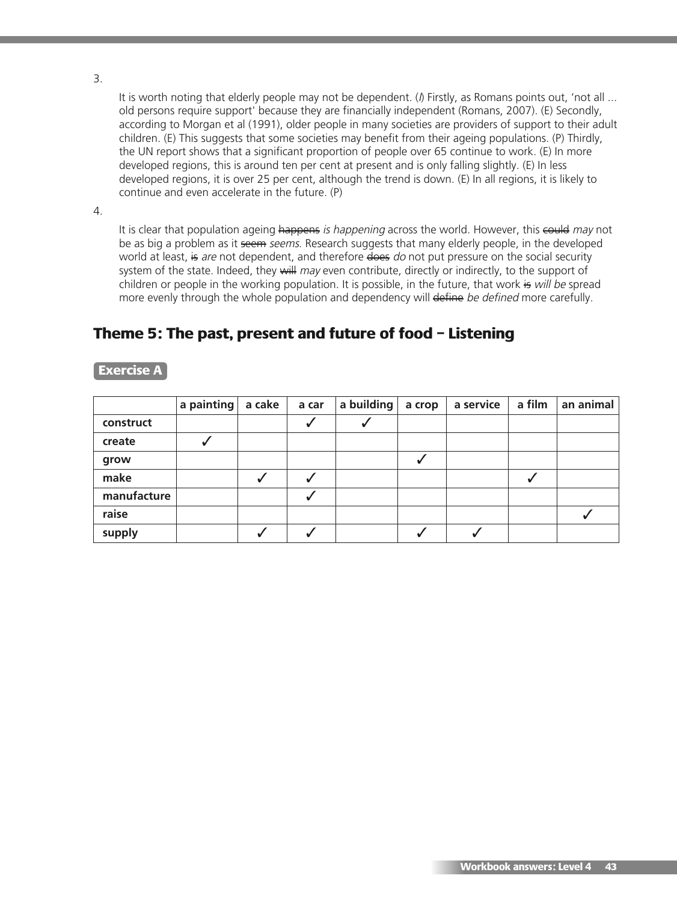3.

It is worth noting that elderly people may not be dependent. ( $\beta$  Firstly, as Romans points out, 'not all ... old persons require support' because they are financially independent (Romans, 2007). (E) Secondly, according to Morgan et al (1991), older people in many societies are providers of support to their adult children. (E) This suggests that some societies may benefit from their ageing populations. (P) Thirdly, the UN report shows that a significant proportion of people over 65 continue to work. (E) In more developed regions, this is around ten per cent at present and is only falling slightly. (E) In less developed regions, it is over 25 per cent, although the trend is down. (E) In all regions, it is likely to continue and even accelerate in the future. (P)

4.

It is clear that population ageing happens is happening across the world. However, this could may not be as big a problem as it seem seems. Research suggests that many elderly people, in the developed world at least, is are not dependent, and therefore does do not put pressure on the social security system of the state. Indeed, they will may even contribute, directly or indirectly, to the support of children or people in the working population. It is possible, in the future, that work is will be spread more evenly through the whole population and dependency will define be defined more carefully.

# **Theme 5: The past, present and future of food – Listening**

|             | a painting | a cake | a car | a building | a crop | a service | a film | an animal |
|-------------|------------|--------|-------|------------|--------|-----------|--------|-----------|
| construct   |            |        |       | v          |        |           |        |           |
| create      |            |        |       |            |        |           |        |           |
| grow        |            |        |       |            |        |           |        |           |
| make        |            |        |       |            |        |           |        |           |
| manufacture |            |        |       |            |        |           |        |           |
| raise       |            |        |       |            |        |           |        |           |
| supply      |            |        |       |            |        |           |        |           |

## **Exercise A**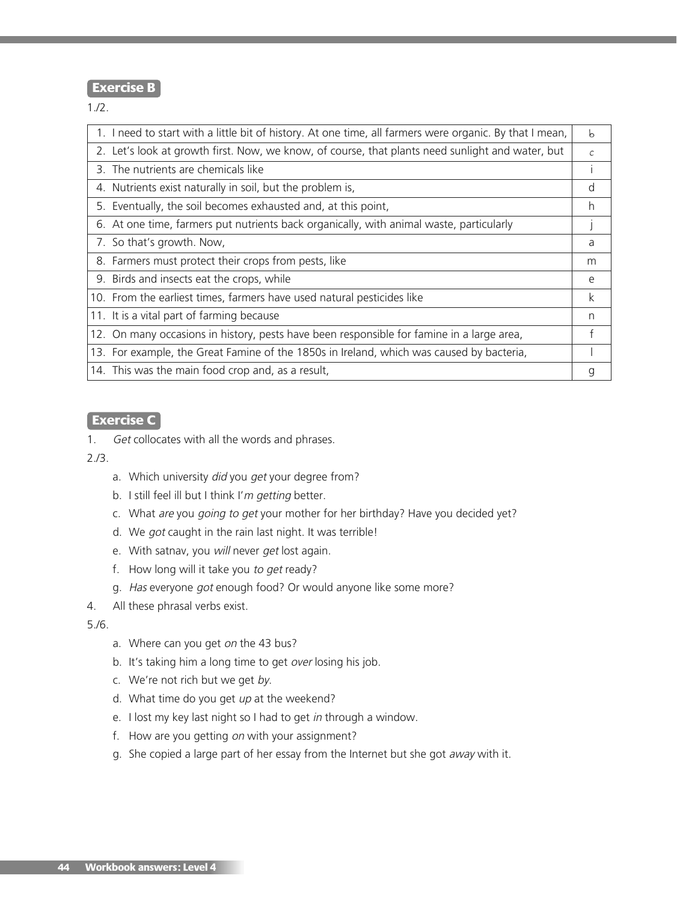### **Exercise B**

1./2.

| 2. Let's look at growth first. Now, we know, of course, that plants need sunlight and water, but<br>С<br>3. The nutrients are chemicals like<br>4. Nutrients exist naturally in soil, but the problem is,<br>d<br>5. Eventually, the soil becomes exhausted and, at this point,<br>h<br>6. At one time, farmers put nutrients back organically, with animal waste, particularly<br>7. So that's growth. Now,<br>a<br>8. Farmers must protect their crops from pests, like<br>m<br>9. Birds and insects eat the crops, while<br>e<br>10. From the earliest times, farmers have used natural pesticides like<br>k<br>11. It is a vital part of farming because<br>n |
|-------------------------------------------------------------------------------------------------------------------------------------------------------------------------------------------------------------------------------------------------------------------------------------------------------------------------------------------------------------------------------------------------------------------------------------------------------------------------------------------------------------------------------------------------------------------------------------------------------------------------------------------------------------------|
|                                                                                                                                                                                                                                                                                                                                                                                                                                                                                                                                                                                                                                                                   |
|                                                                                                                                                                                                                                                                                                                                                                                                                                                                                                                                                                                                                                                                   |
|                                                                                                                                                                                                                                                                                                                                                                                                                                                                                                                                                                                                                                                                   |
|                                                                                                                                                                                                                                                                                                                                                                                                                                                                                                                                                                                                                                                                   |
|                                                                                                                                                                                                                                                                                                                                                                                                                                                                                                                                                                                                                                                                   |
|                                                                                                                                                                                                                                                                                                                                                                                                                                                                                                                                                                                                                                                                   |
|                                                                                                                                                                                                                                                                                                                                                                                                                                                                                                                                                                                                                                                                   |
|                                                                                                                                                                                                                                                                                                                                                                                                                                                                                                                                                                                                                                                                   |
|                                                                                                                                                                                                                                                                                                                                                                                                                                                                                                                                                                                                                                                                   |
|                                                                                                                                                                                                                                                                                                                                                                                                                                                                                                                                                                                                                                                                   |
| 12. On many occasions in history, pests have been responsible for famine in a large area,<br>f                                                                                                                                                                                                                                                                                                                                                                                                                                                                                                                                                                    |
| 13. For example, the Great Famine of the 1850s in Ireland, which was caused by bacteria,                                                                                                                                                                                                                                                                                                                                                                                                                                                                                                                                                                          |
| 14. This was the main food crop and, as a result,<br>g                                                                                                                                                                                                                                                                                                                                                                                                                                                                                                                                                                                                            |

#### **Exercise C**

1. Get collocates with all the words and phrases.

2./3.

- a. Which university did you get your degree from?
- b. I still feel ill but I think I'm getting better.
- c. What are you going to get your mother for her birthday? Have you decided yet?
- d. We got caught in the rain last night. It was terrible!
- e. With satnav, you will never get lost again.
- f. How long will it take you to get ready?
- g. Has everyone got enough food? Or would anyone like some more?
- 4. All these phrasal verbs exist.

5./6.

- a. Where can you get on the 43 bus?
- b. It's taking him a long time to get over losing his job.
- c. We're not rich but we get by.
- d. What time do you get  $up$  at the weekend?
- e. I lost my key last night so I had to get in through a window.
- f. How are you getting on with your assignment?
- g. She copied a large part of her essay from the Internet but she got away with it.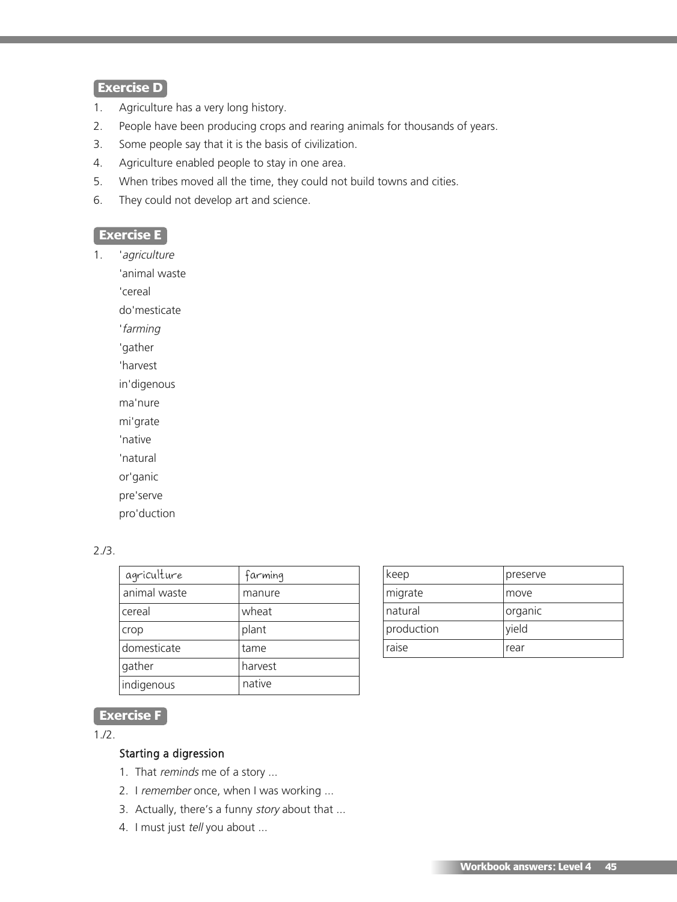## **Exercise D**

- 1. Agriculture has a very long history.
- 2. People have been producing crops and rearing animals for thousands of years.
- 3. Some people say that it is the basis of civilization.
- 4. Agriculture enabled people to stay in one area.
- 5. When tribes moved all the time, they could not build towns and cities.
- 6. They could not develop art and science.

## **Exercise E**

1. 'agriculture

'animal waste

'cereal

do'mesticate

'farming

'gather

'harvest

in'digenous

ma'nure

mi'grate

'native

'natural

or'ganic

pre'serve

pro'duction

### 2./3.

| agriculture  | farming |
|--------------|---------|
| animal waste | manure  |
| cereal       | wheat   |
| crop         | plant   |
| domesticate  | tame    |
| gather       | harvest |
| indigenous   | native  |

| keep       | preserve |
|------------|----------|
| migrate    | move     |
| natural    | organic  |
| production | yield    |
| raise      | rear     |

# **Exercise F**

1./2.

#### Starting a digression

- 1. That reminds me of a story ...
- 2. I remember once, when I was working ...
- 3. Actually, there's a funny story about that ...
- 4. I must just tell you about ...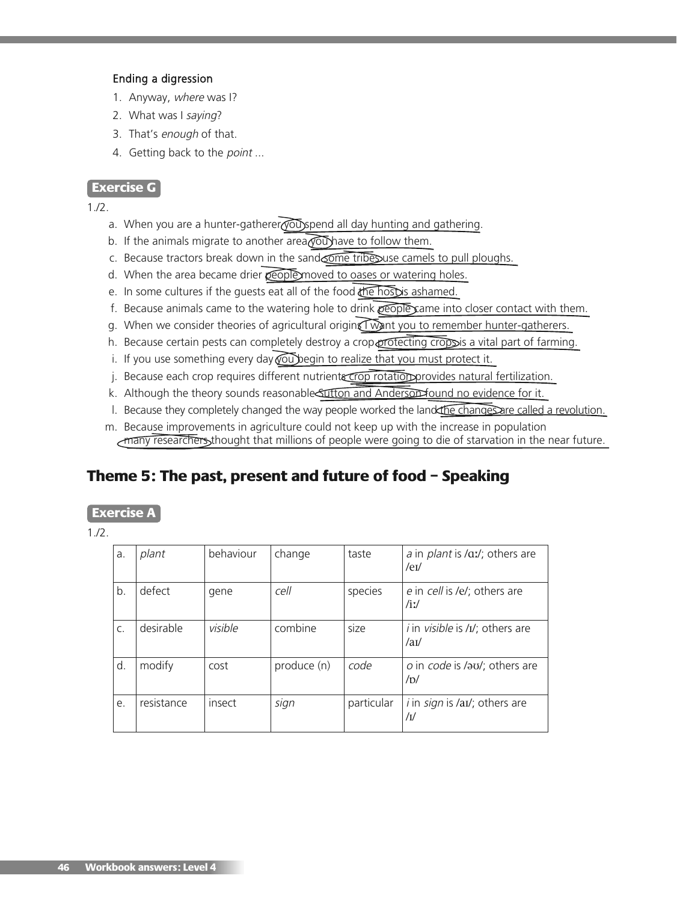#### Ending a digression

- 1. Anyway, where was I?
- 2. What was I saying?
- 3. That's enough of that.
- 4. Getting back to the point ...

### **Exercise G**

1./2.

- a. When you are a hunter-gatherer you spend all day hunting and gathering.
- b. If the animals migrate to another area  $\sqrt{\omega}$  have to follow them.
- c. Because tractors break down in the sand one tribe suse camels to pull ploughs.
- d. When the area became drier people moved to oases or watering holes.
- e. In some cultures if the quests eat all of the food the host is ashamed.
- f. Because animals came to the watering hole to drink  $\sqrt{1-\epsilon}$  came into closer contact with them.
- g. When we consider theories of agricultural origins I want you to remember hunter-gatherers.
- h. Because certain pests can completely destroy a crop protecting crops is a vital part of farming.
- i. If you use something every day  $\widehat{\text{poly}}$  egin to realize that you must protect it.
- j. Because each crop requires different nutrients crop rotation provides natural fertilization.
- k. Although the theory sounds reasonable Suffon and Anderson found no evidence for it.
- l. Because they completely changed the way people worked the land the changes are called a revolution.
- m. Because improvements in agriculture could not keep up with the increase in population many researchers thought that millions of people were going to die of starvation in the near future.

# **Theme 5: The past, present and future of food – Speaking**

## **Exercise A**

| a. | plant      | behaviour | change      | taste      | a in <i>plant</i> is /aː/; others are<br>$/$ e $V$   |
|----|------------|-----------|-------------|------------|------------------------------------------------------|
| b. | defect     | gene      | cell        | species    | e in cell is /e/; others are<br>$/$ iz $/$           |
| C. | desirable  | visible   | combine     | size       | <i>i</i> in <i>visible</i> is /I/; others are<br>/au |
| d. | modify     | cost      | produce (n) | code       | o in code is /au/; others are<br>/D/                 |
| e. | resistance | insect    | sign        | particular | i in sign is /aɪ/; others are<br>/I                  |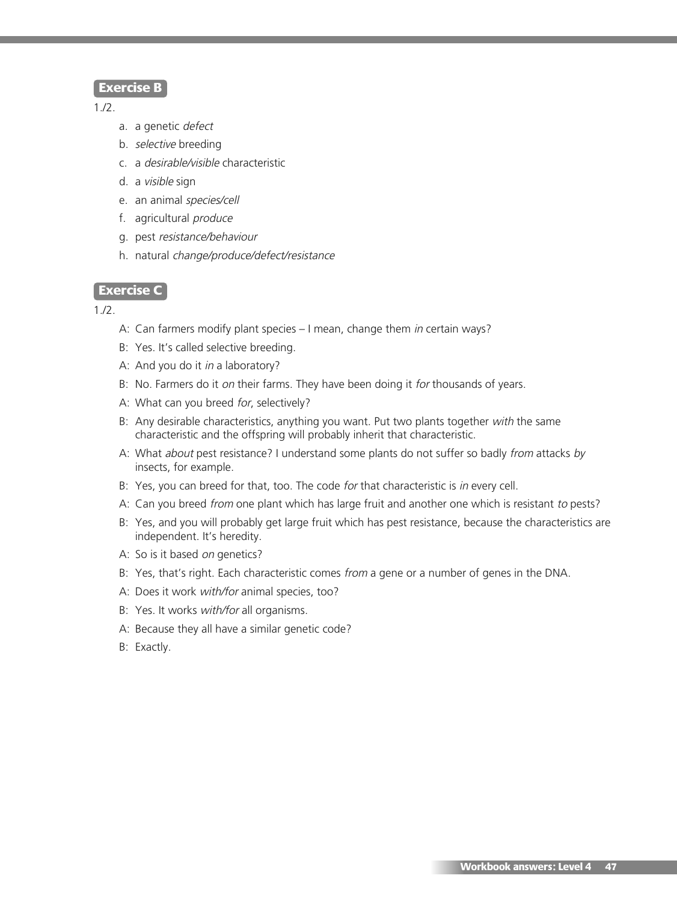#### **Exercise B**

1./2.

- a. a genetic defect
- b. selective breeding
- c. a desirable/visible characteristic
- d. a visible sign
- e. an animal species/cell
- f. agricultural produce
- g. pest resistance/behaviour
- h. natural change/produce/defect/resistance

#### **Exercise C**

- A: Can farmers modify plant species I mean, change them in certain ways?
- B: Yes. It's called selective breeding.
- A: And you do it *in* a laboratory?
- B: No. Farmers do it on their farms. They have been doing it for thousands of years.
- A: What can you breed for, selectively?
- B: Any desirable characteristics, anything you want. Put two plants together with the same characteristic and the offspring will probably inherit that characteristic.
- A: What about pest resistance? I understand some plants do not suffer so badly from attacks by insects, for example.
- B: Yes, you can breed for that, too. The code for that characteristic is in every cell.
- A: Can you breed from one plant which has large fruit and another one which is resistant to pests?
- B: Yes, and you will probably get large fruit which has pest resistance, because the characteristics are independent. It's heredity.
- A: So is it based on genetics?
- B: Yes, that's right. Each characteristic comes from a gene or a number of genes in the DNA.
- A: Does it work with/for animal species, too?
- B: Yes. It works with/for all organisms.
- A: Because they all have a similar genetic code?
- B: Exactly.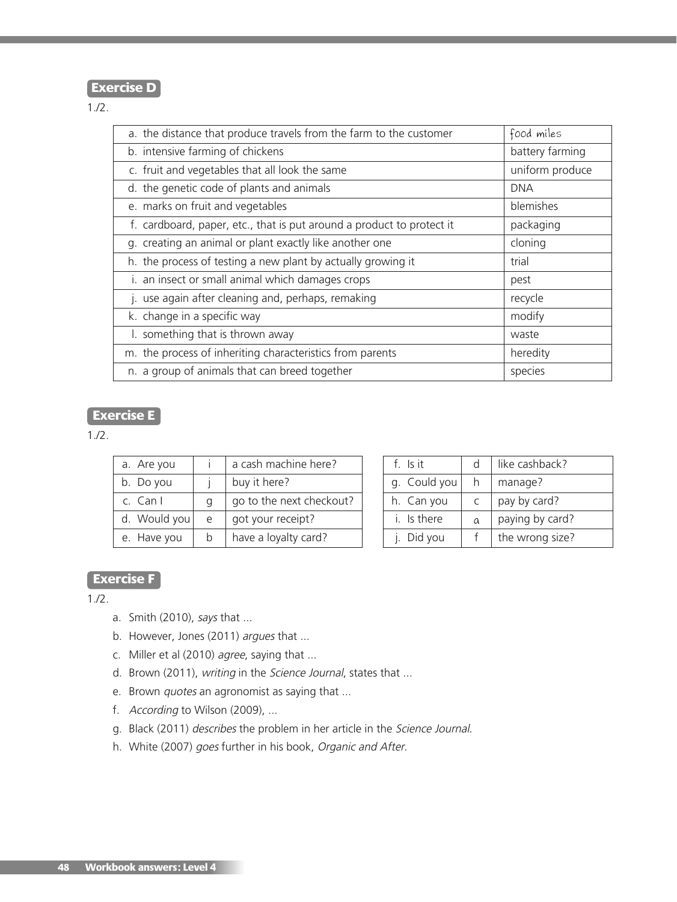# **Exercise D**

1./2.

| a. the distance that produce travels from the farm to the customer    | food miles      |
|-----------------------------------------------------------------------|-----------------|
| b. intensive farming of chickens                                      | battery farming |
| c. fruit and vegetables that all look the same                        | uniform produce |
| d. the genetic code of plants and animals                             | <b>DNA</b>      |
| e. marks on fruit and vegetables                                      | blemishes       |
| f. cardboard, paper, etc., that is put around a product to protect it | packaging       |
| g. creating an animal or plant exactly like another one               | cloning         |
| h. the process of testing a new plant by actually growing it          | trial           |
| i. an insect or small animal which damages crops                      | pest            |
| j. use again after cleaning and, perhaps, remaking                    | recycle         |
| k. change in a specific way                                           | modify          |
| I. something that is thrown away                                      | waste           |
| m. the process of inheriting characteristics from parents             | heredity        |
| n. a group of animals that can breed together                         | species         |

# **Exercise E**

1./2.

| a. Are you   |   | a cash machine here?     |
|--------------|---|--------------------------|
| b. Do you    |   | buy it here?             |
| $c.$ Can I   | a | go to the next checkout? |
| d. Would you | e | got your receipt?        |
| e. Have you  | h | have a loyalty card?     |

| $f$ $\vert$ $\mathsf{s}$ it | d | like cashback?  |
|-----------------------------|---|-----------------|
| g. Could you                | h | manage?         |
| h. Can you                  |   | pay by card?    |
| i. Is there                 | a | paying by card? |
| j. Did you                  |   | the wrong size? |

## **Exercise F**

- a. Smith (2010), says that ...
- b. However, Jones (2011) argues that ...
- c. Miller et al (2010) agree, saying that ...
- d. Brown (2011), writing in the Science Journal, states that ...
- e. Brown *quotes* an agronomist as saying that ...
- f. According to Wilson (2009), ...
- g. Black (2011) describes the problem in her article in the Science Journal.
- h. White (2007) goes further in his book, Organic and After.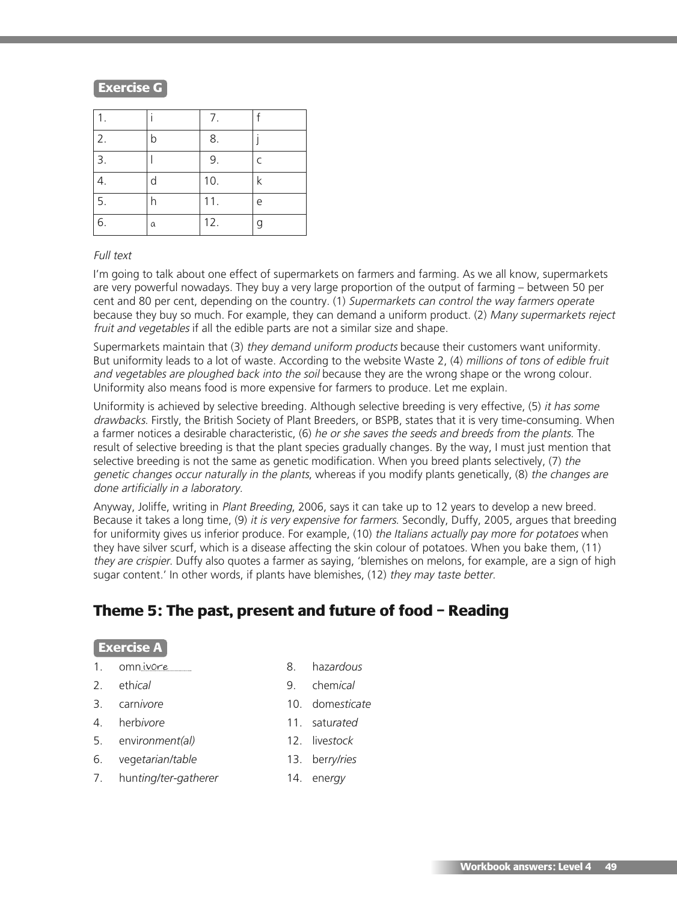## **Exercise G**

| 1. |   | 7.  | f            |
|----|---|-----|--------------|
| 2. | b | 8.  |              |
| 3. |   | 9.  | $\mathsf{C}$ |
| 4. | d | 10. | $\mathsf k$  |
| 5. |   | 11. | e            |
| 6. | a | 12. | g            |

#### Full text

I'm going to talk about one effect of supermarkets on farmers and farming. As we all know, supermarkets are very powerful nowadays. They buy a very large proportion of the output of farming – between 50 per cent and 80 per cent, depending on the country. (1) Supermarkets can control the way farmers operate because they buy so much. For example, they can demand a uniform product. (2) Many supermarkets reject fruit and vegetables if all the edible parts are not a similar size and shape.

Supermarkets maintain that (3) they demand uniform products because their customers want uniformity. But uniformity leads to a lot of waste. According to the website Waste 2, (4) millions of tons of edible fruit and vegetables are ploughed back into the soil because they are the wrong shape or the wrong colour. Uniformity also means food is more expensive for farmers to produce. Let me explain.

Uniformity is achieved by selective breeding. Although selective breeding is very effective, (5) it has some drawbacks. Firstly, the British Society of Plant Breeders, or BSPB, states that it is very time-consuming. When a farmer notices a desirable characteristic, (6) he or she saves the seeds and breeds from the plants. The result of selective breeding is that the plant species gradually changes. By the way, I must just mention that selective breeding is not the same as genetic modification. When you breed plants selectively, (7) the genetic changes occur naturally in the plants, whereas if you modify plants genetically, (8) the changes are done artificially in <sup>a</sup> laboratory.

Anyway, Joliffe, writing in Plant Breeding, 2006, says it can take up to 12 years to develop a new breed. Because it takes a long time, (9) it is very expensive for farmers. Secondly, Duffy, 2005, argues that breeding for uniformity gives us inferior produce. For example, (10) the Italians actually pay more for potatoes when they have silver scurf, which is a disease affecting the skin colour of potatoes. When you bake them, (11) they are crispier. Duffy also quotes a farmer as saying, 'blemishes on melons, for example, are a sign of high sugar content.' In other words, if plants have blemishes, (12) they may taste better.

# **Theme 5: The past, present and future of food – Reading**

#### **Exercise A**

- 1. omnivore 1. Solomon 1. and 1. and 1. and 1. and 1. and 1. and 1. and 1. and 1. and 1. and 1. and 1. and 1. and 1. and 1. and 1. and 1. and 1. and 1. and 1. and 1. and 1. and 1. and 1. and 1. and 1. and 1. and 1. and 1.
- 2. eth*ical* 9. chem*ical*
- 3. carn*ivore* 10. dome*sticate*
- 4. herb*ivore* 11. satu*rated*
- 5. envi*ronment(al)* 12. live*stock*
- -
- 
- 
- 6. vege*tarian/table* 13. ber*ry/ries*
- 7. hun*ting/ter-gatherer* 14. ene*rgy*

 **Workbook answers: Level 4 49**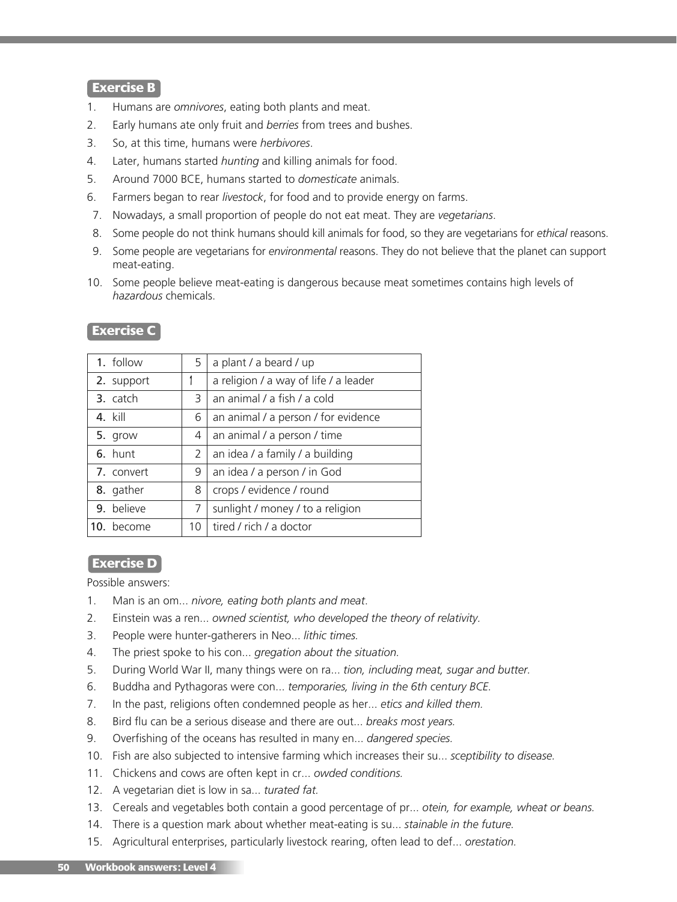### **Exercise B**

- 1. Humans are *omnivores*, eating both plants and meat.
- 2. Early humans ate only fruit and *berries* from trees and bushes.
- 3. So, at this time, humans were *herbivores*.
- 4. Later, humans started *hunting* and killing animals for food.
- 5. Around 7000 BCE, humans started to *domesticate* animals.
- 6. Farmers began to rear *livestock*, for food and to provide energy on farms.
- 7. Nowadays, a small proportion of people do not eat meat. They are *vegetarians*.
- 8. Some people do not think humans should kill animals for food, so they are vegetarians for *ethical* reasons.
- 9. Some people are vegetarians for *environmental* reasons. They do not believe that the planet can support meat-eating.
- 10. Some people believe meat-eating is dangerous because meat sometimes contains high levels of *hazardous* chemicals.

| 1. follow      | 5.                    | a plant / a beard / up                |  |
|----------------|-----------------------|---------------------------------------|--|
| 2. support     |                       | a religion / a way of life / a leader |  |
| 3. catch       | 3                     | an animal / a fish / a cold           |  |
| $4.$ kill      | 6                     | an animal / a person / for evidence   |  |
| 5. grow        | 4                     | an animal / a person / time           |  |
| 6. hunt        | $\mathbf{2}^{\prime}$ | an idea / a family / a building       |  |
| 7. convert     | 9                     | an idea / a person / in God           |  |
| 8. gather      | 8                     | crops / evidence / round              |  |
| 9. believe     | 7                     | sunlight / money / to a religion      |  |
| become<br>10 I | 10                    | tired / rich / a doctor               |  |

# **Exercise C**

#### **Exercise D**

Possible answers:

- 1. Man is an om... *nivore, eating both plants and meat*.
- 2. Einstein was a ren... *owned scientist, who developed the theory of relativity.*
- 3. People were hunter-gatherers in Neo... *lithic times.*
- 4. The priest spoke to his con... *gregation about the situation.*
- 5. During World War II, many things were on ra... *tion, including meat, sugar and butter.*
- 6. Buddha and Pythagoras were con... *temporaries, living in the 6th century BCE.*
- 7. In the past, religions often condemned people as her... *etics and killed them.*
- 8. Bird flu can be a serious disease and there are out... *breaks most years.*
- 9. Overfishing of the oceans has resulted in many en... *dangered species.*
- 10. Fish are also subjected to intensive farming which increases their su... *sceptibility to disease.*
- 11. Chickens and cows are often kept in cr... *owded conditions.*
- 12. A vegetarian diet is low in sa... *turated fat.*
- 13. Cereals and vegetables both contain a good percentage of pr... *otein, for example, wheat or beans.*
- 14. There is a question mark about whether meat-eating is su... *stainable in the future.*
- 15. Agricultural enterprises, particularly livestock rearing, often lead to def... *orestation.*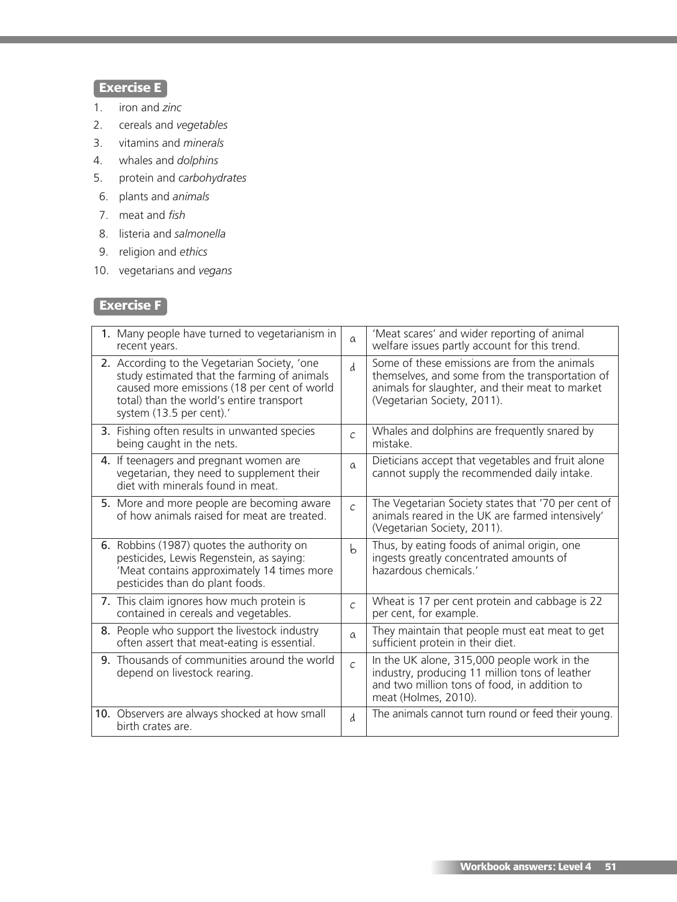# **Exercise E**

- 1. iron and *zinc*
- 2. cereals and *vegetables*
- 3. vitamins and *minerals*
- 4. whales and *dolphins*
- 5. protein and *carbohydrates*
- 6. plants and *animals*
- 7. meat and *fish*
- 8. listeria and *salmonella*
- 9. religion and *ethics*
- 10. vegetarians and *vegans*

# **Exercise F**

| 1. Many people have turned to vegetarianism in<br>recent years.                                                                                                                                                    | $\alpha$       | 'Meat scares' and wider reporting of animal<br>welfare issues partly account for this trend.                                                                                      |
|--------------------------------------------------------------------------------------------------------------------------------------------------------------------------------------------------------------------|----------------|-----------------------------------------------------------------------------------------------------------------------------------------------------------------------------------|
| 2. According to the Vegetarian Society, 'one<br>study estimated that the farming of animals<br>caused more emissions (18 per cent of world<br>total) than the world's entire transport<br>system (13.5 per cent).' | d              | Some of these emissions are from the animals<br>themselves, and some from the transportation of<br>animals for slaughter, and their meat to market<br>(Vegetarian Society, 2011). |
| 3. Fishing often results in unwanted species<br>being caught in the nets.                                                                                                                                          | $\mathcal{C}$  | Whales and dolphins are frequently snared by<br>mistake.                                                                                                                          |
| 4. If teenagers and pregnant women are<br>vegetarian, they need to supplement their<br>diet with minerals found in meat.                                                                                           | $\alpha$       | Dieticians accept that vegetables and fruit alone<br>cannot supply the recommended daily intake.                                                                                  |
| 5. More and more people are becoming aware<br>of how animals raised for meat are treated.                                                                                                                          | $\overline{C}$ | The Vegetarian Society states that '70 per cent of<br>animals reared in the UK are farmed intensively'<br>(Vegetarian Society, 2011).                                             |
| 6. Robbins (1987) quotes the authority on<br>pesticides, Lewis Regenstein, as saying:<br>'Meat contains approximately 14 times more<br>pesticides than do plant foods.                                             | b              | Thus, by eating foods of animal origin, one<br>ingests greatly concentrated amounts of<br>hazardous chemicals.'                                                                   |
| 7. This claim ignores how much protein is<br>contained in cereals and vegetables.                                                                                                                                  | $\mathcal{C}$  | Wheat is 17 per cent protein and cabbage is 22<br>per cent, for example.                                                                                                          |
| 8. People who support the livestock industry<br>often assert that meat-eating is essential.                                                                                                                        | $\alpha$       | They maintain that people must eat meat to get<br>sufficient protein in their diet.                                                                                               |
| 9. Thousands of communities around the world<br>depend on livestock rearing.                                                                                                                                       | $\mathcal{C}$  | In the UK alone, 315,000 people work in the<br>industry, producing 11 million tons of leather<br>and two million tons of food, in addition to<br>meat (Holmes, 2010).             |
| 10. Observers are always shocked at how small<br>birth crates are.                                                                                                                                                 | d              | The animals cannot turn round or feed their young.                                                                                                                                |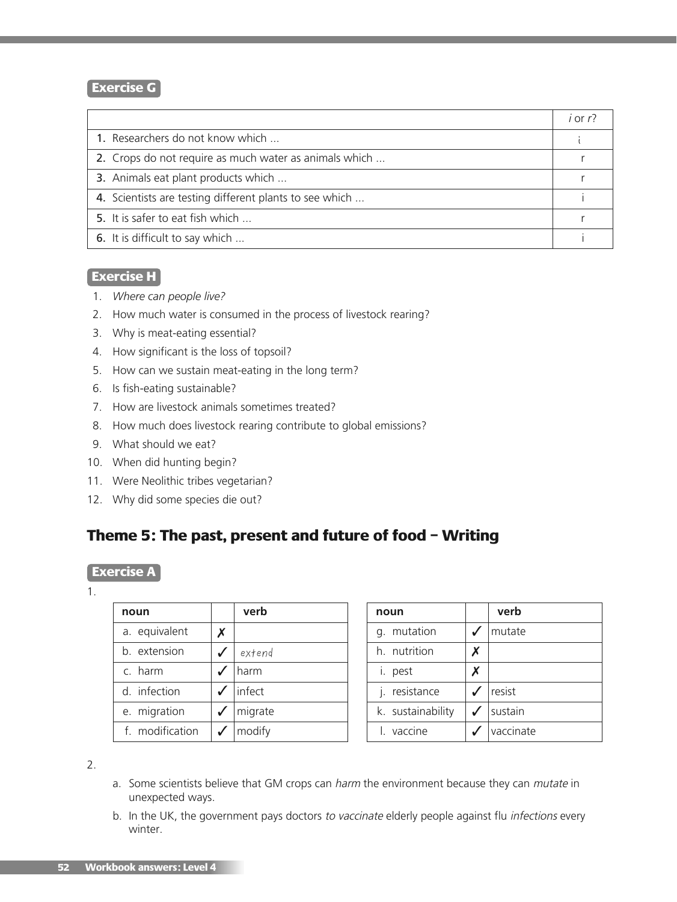## **Exercise G**

|                                                         | $i$ or $r$ ? |
|---------------------------------------------------------|--------------|
| 1. Researchers do not know which                        |              |
| 2. Crops do not require as much water as animals which  |              |
| 3. Animals eat plant products which                     |              |
| 4. Scientists are testing different plants to see which |              |
| 5. It is safer to eat fish which                        |              |
| 6. It is difficult to say which                         |              |

# **Exercise H**

- 1. *Where can people live?*
- 2. How much water is consumed in the process of livestock rearing?
- 3. Why is meat-eating essential?
- 4. How significant is the loss of topsoil?
- 5. How can we sustain meat-eating in the long term?
- 6. Is fish-eating sustainable?
- 7. How are livestock animals sometimes treated?
- 8. How much does livestock rearing contribute to global emissions?
- 9. What should we eat?
- 10. When did hunting begin?
- 11. Were Neolithic tribes vegetarian?
- 12. Why did some species die out?

# **Theme 5: The past, present and future of food – Writing**

#### **Exercise A**

1.

| noun            |   | verb    |
|-----------------|---|---------|
| a. equivalent   | x |         |
| b. extension    |   | extend  |
| c. harm         |   | harm    |
| d. infection    |   | linfect |
| e. migration    |   | migrate |
| f. modification |   | modify  |

| noun              | verb      |
|-------------------|-----------|
| mutation<br>q.    | mutate    |
| h. nutrition      |           |
| i. pest           |           |
| resistance        | resist    |
| k. sustainability | sustain   |
| vaccine           | vaccinate |

2.

- a. Some scientists believe that GM crops can harm the environment because they can mutate in unexpected ways.
- b. In the UK, the government pays doctors to vaccinate elderly people against flu infections every winter.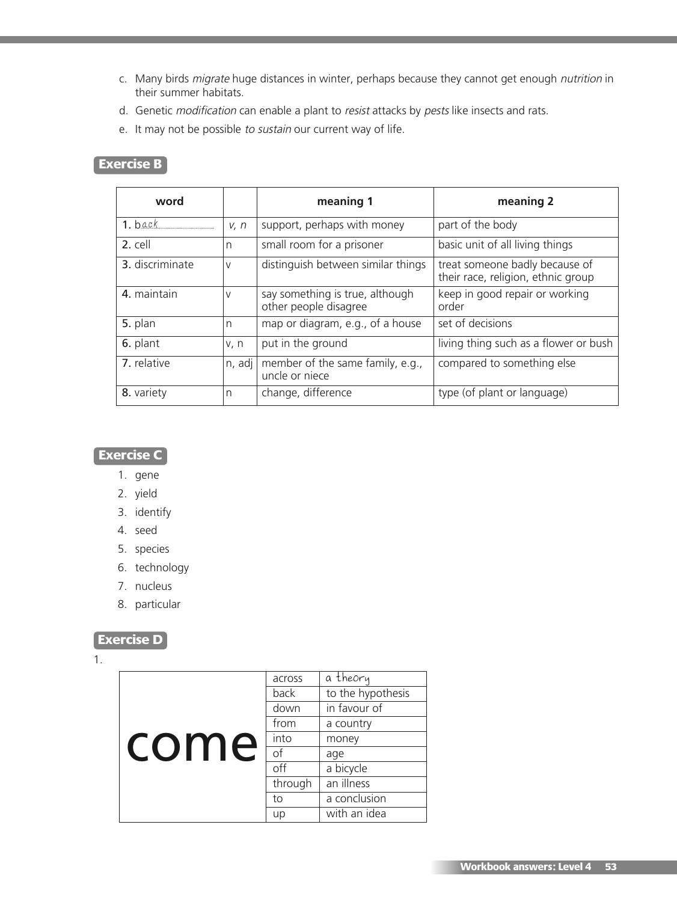- c. Many birds migrate huge distances in winter, perhaps because they cannot get enough nutrition in their summer habitats.
- d. Genetic modification can enable a plant to resist attacks by pests like insects and rats.
- e. It may not be possible to sustain our current way of life.

# **Exercise B**

| word            |        | meaning 1                                                | meaning 2                                                            |
|-----------------|--------|----------------------------------------------------------|----------------------------------------------------------------------|
| $1.$ back       | V, n   | support, perhaps with money                              | part of the body                                                     |
| 2. cell         | n      | small room for a prisoner                                | basic unit of all living things                                      |
| 3. discriminate | $\vee$ | distinguish between similar things                       | treat someone badly because of<br>their race, religion, ethnic group |
| 4. maintain     | $\vee$ | say something is true, although<br>other people disagree | keep in good repair or working<br>order                              |
| 5. plan         | n      | map or diagram, e.g., of a house                         | set of decisions                                                     |
| 6. plant        | v, n   | put in the ground                                        | living thing such as a flower or bush                                |
| 7. relative     | n, adj | member of the same family, e.g.,<br>uncle or niece       | compared to something else                                           |
| 8. variety      | n      | change, difference                                       | type (of plant or language)                                          |

# **Exercise C**

- 1. gene
- 2. yield
- 3. identify
- 4. seed
- 5. species
- 6. technology
- 7. nucleus
- 8. particular

### **Exercise D**

1.

| come | across  | a theory          |
|------|---------|-------------------|
|      | back    | to the hypothesis |
|      | down    | in favour of      |
|      | from    | a country         |
|      | into    | money             |
|      | οf      | age               |
|      | off     | a bicycle         |
|      | through | an illness        |
|      | to      | a conclusion      |
|      | up      | with an idea      |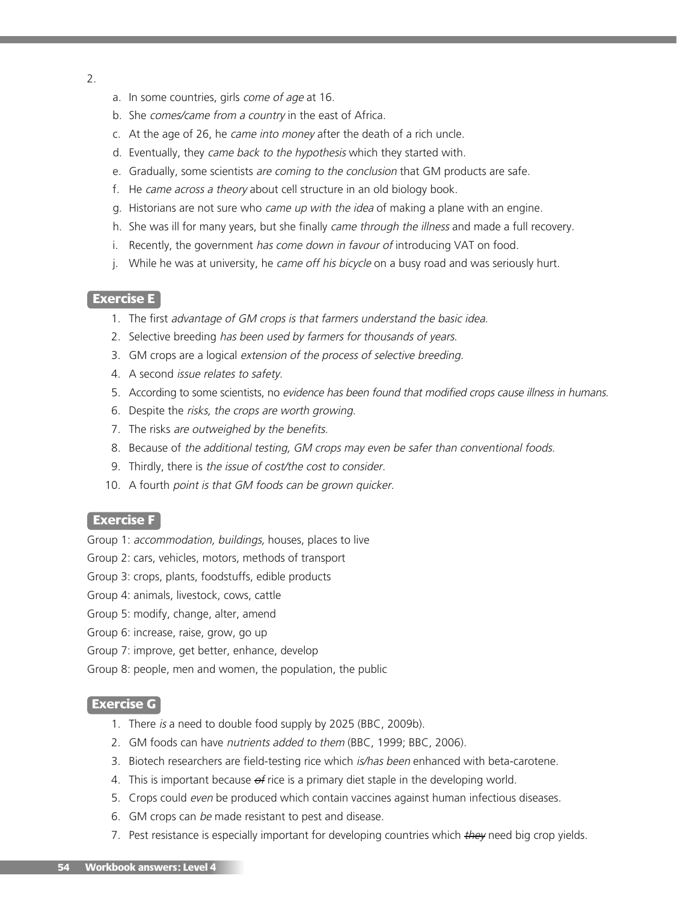- 2.
- a. In some countries, girls come of age at 16.
- b. She comes/came from <sup>a</sup> country in the east of Africa.
- c. At the age of 26, he came into money after the death of a rich uncle.
- d. Eventually, they came back to the hypothesis which they started with.
- e. Gradually, some scientists are coming to the conclusion that GM products are safe.
- f. He came across <sup>a</sup> theory about cell structure in an old biology book.
- g. Historians are not sure who came up with the idea of making a plane with an engine.
- h. She was ill for many years, but she finally came through the illness and made a full recovery.
- i. Recently, the government has come down in favour of introducing VAT on food.
- j. While he was at university, he came off his bicycle on a busy road and was seriously hurt.

#### **Exercise E**

- 1. The first advantage of GM crops is that farmers understand the basic idea.
- 2. Selective breeding has been used by farmers for thousands of years.
- 3. GM crops are a logical extension of the process of selective breeding.
- 4. A second issue relates to safety.
- 5. According to some scientists, no evidence has been found that modified crops cause illness in humans.
- 6. Despite the risks, the crops are worth growing.
- 7. The risks are outweighed by the benefits.
- 8. Because of the additional testing, GM crops may even be safer than conventional foods.
- 9. Thirdly, there is the issue of cost/the cost to consider.
- 10. A fourth point is that GM foods can be grown quicker.

#### **Exercise F**

- Group 1: accommodation, buildings, houses, places to live
- Group 2: cars, vehicles, motors, methods of transport
- Group 3: crops, plants, foodstuffs, edible products
- Group 4: animals, livestock, cows, cattle
- Group 5: modify, change, alter, amend
- Group 6: increase, raise, grow, go up
- Group 7: improve, get better, enhance, develop
- Group 8: people, men and women, the population, the public

#### **Exercise G**

- 1. There is a need to double food supply by 2025 (BBC, 2009b).
- 2. GM foods can have nutrients added to them (BBC, 1999; BBC, 2006).
- 3. Biotech researchers are field-testing rice which is/has been enhanced with beta-carotene.
- 4. This is important because  $\theta$  rice is a primary diet staple in the developing world.
- 5. Crops could even be produced which contain vaccines against human infectious diseases.
- 6. GM crops can be made resistant to pest and disease.
- 7. Pest resistance is especially important for developing countries which they need big crop yields.